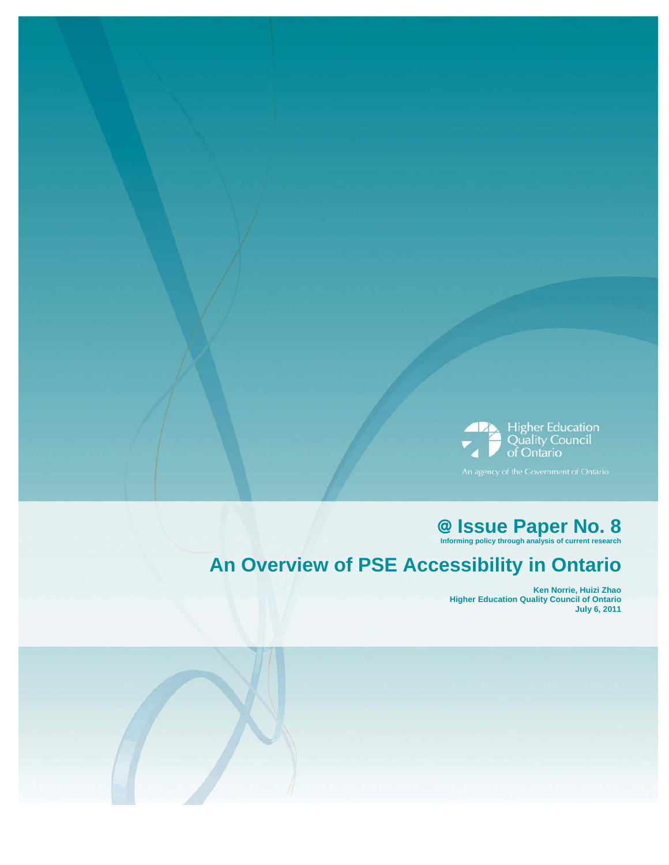

# @ **Issue Paper No. 8 Informing policy through analysis of current research**

## **An Overview of PSE Accessibility in Ontario**

**Ken Norrie, Huizi Zhao Higher Education Quality Council of Ontario July 6, 2011**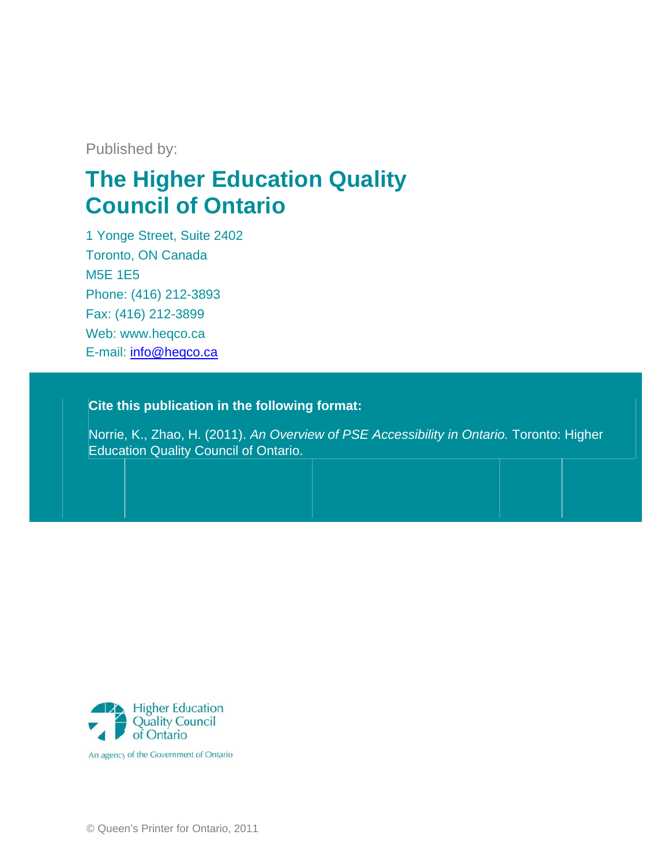Published by:

# **The Higher Education Quality Council of Ontario**

1 Yong ge Street, S Suite 2402 Toronto, ON Canada M5E 1E5 Phone : (416) 212 -3893 Fax: (4 416) 212-38 899 Web: www.heqco.ca E-mail: *info@heqco.ca* 

#### **Cite this publication in the following format:**

Norrie , K., Zhao, H. (2011). *An Overvie ew of PSE A ccessibility in Ontario.* Toronto: Higher Education Quality Council of Ontario.



An agency of the Government of Ontario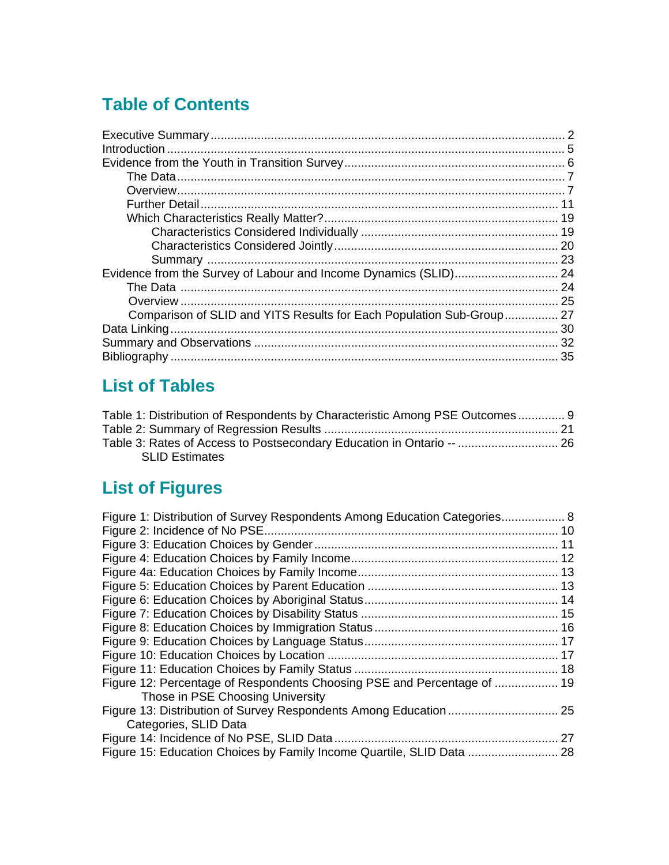## **Table of Contents**

|                                                                      | 24 |
|----------------------------------------------------------------------|----|
|                                                                      | 25 |
| Comparison of SLID and YITS Results for Each Population Sub-Group 27 |    |
|                                                                      |    |
|                                                                      | 32 |
|                                                                      |    |

## **List of Tables**

| Table 1: Distribution of Respondents by Characteristic Among PSE Outcomes 9 |  |
|-----------------------------------------------------------------------------|--|
|                                                                             |  |
|                                                                             |  |
| <b>SLID Estimates</b>                                                       |  |

## **List of Figures**

| Figure 1: Distribution of Survey Respondents Among Education Categories 8 |  |
|---------------------------------------------------------------------------|--|
|                                                                           |  |
|                                                                           |  |
|                                                                           |  |
|                                                                           |  |
|                                                                           |  |
|                                                                           |  |
|                                                                           |  |
|                                                                           |  |
|                                                                           |  |
|                                                                           |  |
|                                                                           |  |
| Figure 12: Percentage of Respondents Choosing PSE and Percentage of  19   |  |
| Those in PSE Choosing University                                          |  |
|                                                                           |  |
| Categories, SLID Data                                                     |  |
|                                                                           |  |
|                                                                           |  |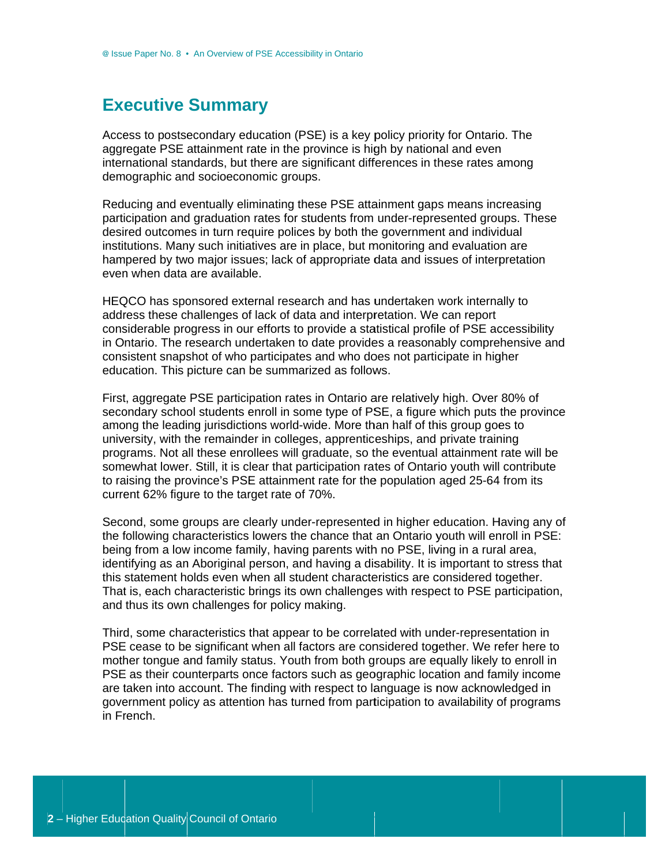## **Executive Summary**

Access to postsecondary education (PSE) is a key policy priority for Ontario. The aggregate PSE attainment rate in the province is high by national and even international standards, but there are significant differences in these rates among demographic and socioeconomic groups.

Reducing and eventually eliminating these PSE attainment gaps means increasing participation and graduation rates for students from under-represented groups. These desired outcomes in turn require polices by both the government and individual institutions. Many such initiatives are in place, but monitoring and evaluation are hampered by two major issues: lack of appropriate data and issues of interpretation even when data are available.

HEQCO has sponsored external research and has undertaken work internally to address these challenges of lack of data and interpretation. We can report considerable progress in our efforts to provide a statistical profile of PSE accessibility in Ontario. The research undertaken to date provides a reasonably comprehensive and consistent snapshot of who participates and who does not participate in higher education. This picture can be summarized as follows.

First, aggregate PSE participation rates in Ontario are relatively high. Over 80% of secondary school students enroll in some type of PSE, a figure which puts the province among the leading jurisdictions world-wide. More than half of this group goes to university, with the remainder in colleges, apprenticeships, and private training programs. Not all these enrollees will graduate, so the eventual attainment rate will be somewhat lower. Still, it is clear that participation rates of Ontario youth will contribute to raising the province's PSE attainment rate for the population aged 25-64 from its current 62% figure to the target rate of 70%.

Second, some groups are clearly under-represented in higher education. Having any of the following characteristics lowers the chance that an Ontario youth will enroll in PSE: being from a low income family, having parents with no PSE, living in a rural area, identifying as an Aboriginal person, and having a disability. It is important to stress that this statement holds even when all student characteristics are considered together. That is, each characteristic brings its own challenges with respect to PSE participation, and thus its own challenges for policy making.

Third, some characteristics that appear to be correlated with under-representation in PSE cease to be significant when all factors are considered together. We refer here to mother tongue and family status. Youth from both groups are equally likely to enroll in PSE as their counterparts once factors such as geographic location and family income are taken into account. The finding with respect to language is now acknowledged in government policy as attention has turned from participation to availability of programs in French.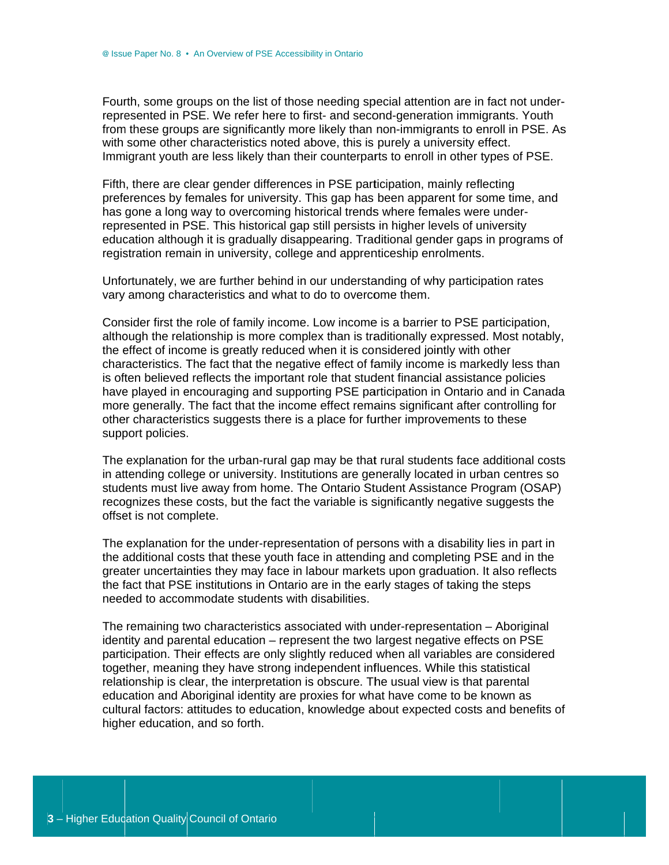Fourth, some groups on the list of those needing special attention are in fact not underrepresented in PSE. We refer here to first- and second-generation immigrants. Youth from these groups are significantly more likely than non-immigrants to enroll in PSE. As with some other characteristics noted above, this is purely a university effect. Immigrant youth are less likely than their counterparts to enroll in other types of PSE.

Fifth, there are clear gender differences in PSE participation, mainly reflecting preferences by females for university. This gap has been apparent for some time, and has gone a long way to overcoming historical trends where females were underrepresented in PSE. This historical gap still persists in higher levels of university education although it is gradually disappearing. Traditional gender gaps in programs of registration remain in university, college and apprenticeship enrolments.

Unfortunately, we are further behind in our understanding of why participation rates vary among characteristics and what to do to overcome them.

Consider first the role of family income. Low income is a barrier to PSE participation, although the relationship is more complex than is traditionally expressed. Most notably, the effect of income is greatly reduced when it is considered jointly with other characteristics. The fact that the negative effect of family income is markedly less than is often believed reflects the important role that student financial assistance policies have played in encouraging and supporting PSE participation in Ontario and in Canada more generally. The fact that the income effect remains significant after controlling for other characteristics suggests there is a place for further improvements to these support policies.

The explanation for the urban-rural gap may be that rural students face additional costs in attending college or university. Institutions are generally located in urban centres so students must live away from home. The Ontario Student Assistance Program (OSAP) recognizes these costs, but the fact the variable is significantly negative suggests the offset is not complete.

The explanation for the under-representation of persons with a disability lies in part in the additional costs that these youth face in attending and completing PSE and in the greater uncertainties they may face in labour markets upon graduation. It also reflects the fact that PSE institutions in Ontario are in the early stages of taking the steps needed to accommodate students with disabilities.

The remaining two characteristics associated with under-representation - Aboriginal identity and parental education – represent the two largest negative effects on PSE participation. Their effects are only slightly reduced when all variables are considered together, meaning they have strong independent influences. While this statistical relationship is clear, the interpretation is obscure. The usual view is that parental education and Aboriginal identity are proxies for what have come to be known as cultural factors: attitudes to education, knowledge about expected costs and benefits of higher education, and so forth.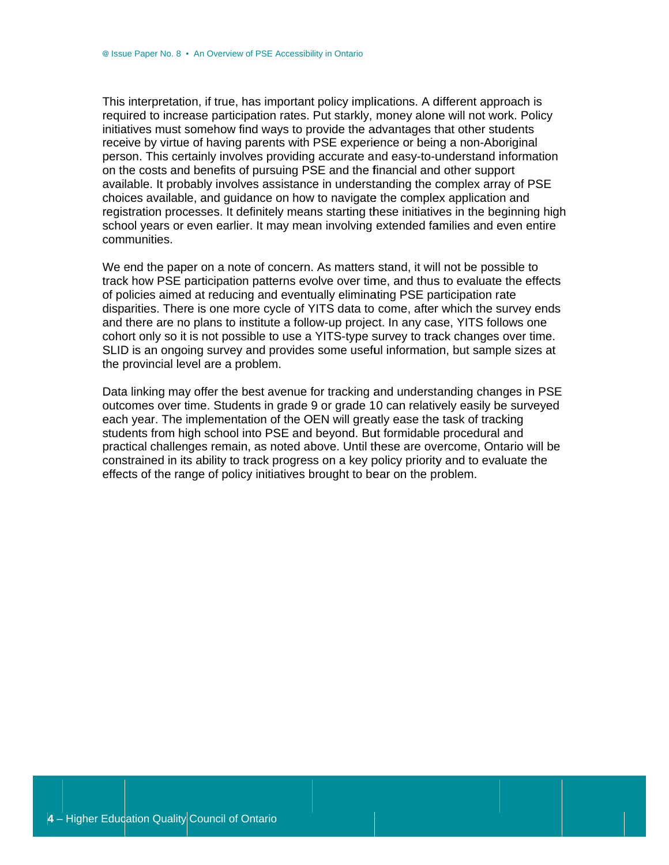This interpretation, if true, has important policy implications. A different approach is required to increase participation rates. Put starkly, money alone will not work. Policy initiatives must somehow find ways to provide the advantages that other students receive by virtue of having parents with PSE experience or being a non-Aboriginal person. This certainly involves providing accurate and easy-to-understand information on the costs and benefits of pursuing PSE and the financial and other support available. It probably involves assistance in understanding the complex array of PSE choices available, and quidance on how to navigate the complex application and registration processes. It definitely means starting these initiatives in the beginning high school years or even earlier. It may mean involving extended families and even entire communities.

We end the paper on a note of concern. As matters stand, it will not be possible to track how PSE participation patterns evolve over time, and thus to evaluate the effects of policies aimed at reducing and eventually eliminating PSE participation rate disparities. There is one more cycle of YITS data to come, after which the survey ends and there are no plans to institute a follow-up project. In any case, YITS follows one cohort only so it is not possible to use a YITS-type survey to track changes over time. SLID is an ongoing survey and provides some useful information, but sample sizes at the provincial level are a problem.

Data linking may offer the best avenue for tracking and understanding changes in PSE outcomes over time. Students in grade 9 or grade 10 can relatively easily be surveyed each year. The implementation of the OEN will greatly ease the task of tracking students from high school into PSE and beyond. But formidable procedural and practical challenges remain, as noted above. Until these are overcome, Ontario will be constrained in its ability to track progress on a key policy priority and to evaluate the effects of the range of policy initiatives brought to bear on the problem.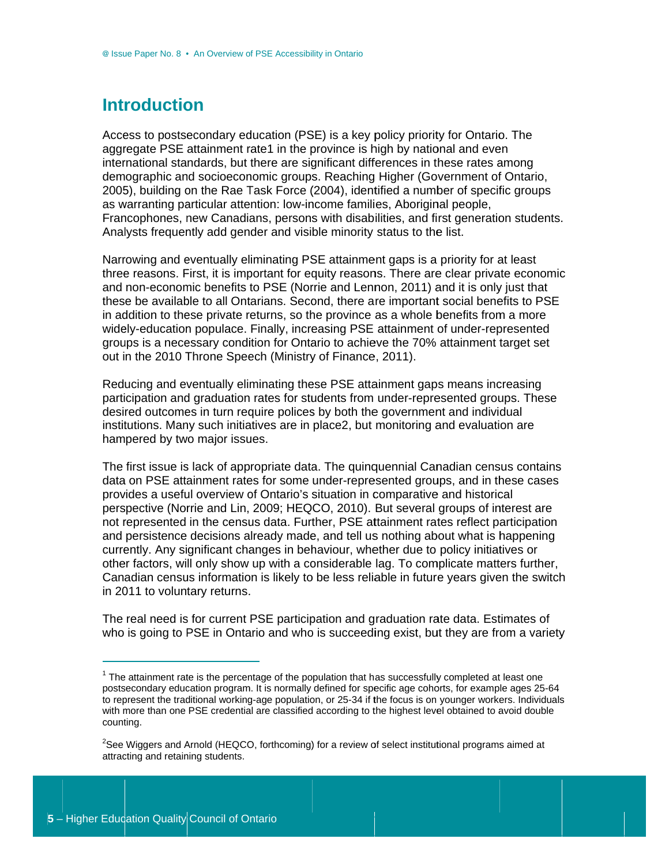### **Introduction**

Access to postsecondary education (PSE) is a key policy priority for Ontario. The aggregate PSE attainment rate1 in the province is high by national and even international standards, but there are significant differences in these rates among demographic and socioeconomic groups. Reaching Higher (Government of Ontario, 2005), building on the Rae Task Force (2004), identified a number of specific groups as warranting particular attention: low-income families, Aboriginal people, Francophones, new Canadians, persons with disabilities, and first generation students. Analysts frequently add gender and visible minority status to the list.

Narrowing and eventually eliminating PSE attainment gaps is a priority for at least three reasons. First, it is important for equity reasons. There are clear private economic and non-economic benefits to PSE (Norrie and Lennon, 2011) and it is only just that these be available to all Ontarians. Second, there are important social benefits to PSE in addition to these private returns, so the province as a whole benefits from a more widely-education populace. Finally, increasing PSE attainment of under-represented groups is a necessary condition for Ontario to achieve the 70% attainment target set out in the 2010 Throne Speech (Ministry of Finance, 2011).

Reducing and eventually eliminating these PSE attainment gaps means increasing participation and graduation rates for students from under-represented groups. These desired outcomes in turn require polices by both the government and individual institutions. Many such initiatives are in place2, but monitoring and evaluation are hampered by two major issues.

The first issue is lack of appropriate data. The quinquennial Canadian census contains data on PSE attainment rates for some under-represented groups, and in these cases provides a useful overview of Ontario's situation in comparative and historical perspective (Norrie and Lin, 2009; HEQCO, 2010). But several groups of interest are not represented in the census data. Further, PSE attainment rates reflect participation and persistence decisions already made, and tell us nothing about what is happening currently. Any significant changes in behaviour, whether due to policy initiatives or other factors, will only show up with a considerable lag. To complicate matters further, Canadian census information is likely to be less reliable in future years given the switch in 2011 to voluntary returns.

The real need is for current PSE participation and graduation rate data. Estimates of who is going to PSE in Ontario and who is succeeding exist, but they are from a variety

 $1$  The attainment rate is the percentage of the population that has successfully completed at least one postsecondary education program. It is normally defined for specific age cohorts, for example ages 25-64 to represent the traditional working-age population, or 25-34 if the focus is on younger workers. Individuals with more than one PSE credential are classified according to the highest level obtained to avoid double counting.

<sup>&</sup>lt;sup>2</sup>See Wiggers and Arnold (HEQCO, forthcoming) for a review of select institutional programs aimed at attracting and retaining students.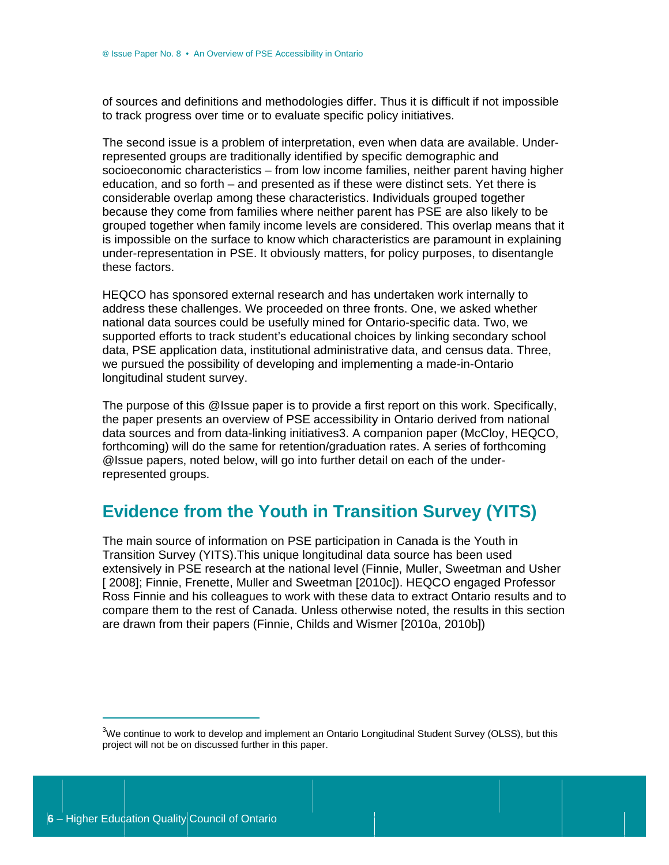of sources and definitions and methodologies differ. Thus it is difficult if not impossible to track progress over time or to evaluate specific policy initiatives.

The second issue is a problem of interpretation, even when data are available. Underrepresented groups are traditionally identified by specific demographic and socioeconomic characteristics – from low income families, neither parent having higher education, and so forth – and presented as if these were distinct sets. Yet there is considerable overlap among these characteristics. Individuals grouped together because they come from families where neither parent has PSE are also likely to be grouped together when family income levels are considered. This overlap means that it is impossible on the surface to know which characteristics are paramount in explaining under-representation in PSE. It obviously matters, for policy purposes, to disentangle these factors.

HEQCO has sponsored external research and has undertaken work internally to address these challenges. We proceeded on three fronts. One, we asked whether national data sources could be usefully mined for Ontario-specific data. Two, we supported efforts to track student's educational choices by linking secondary school data, PSE application data, institutional administrative data, and census data. Three, we pursued the possibility of developing and implementing a made-in-Ontario longitudinal student survey.

The purpose of this @Issue paper is to provide a first report on this work. Specifically, the paper presents an overview of PSE accessibility in Ontario derived from national data sources and from data-linking initiatives3. A companion paper (McCloy, HEQCO, forthcoming) will do the same for retention/graduation rates. A series of forthcoming @Issue papers, noted below, will go into further detail on each of the underrepresented groups.

### **Evidence from the Youth in Transition Survey (YITS)**

The main source of information on PSE participation in Canada is the Youth in Transition Survey (YITS). This unique longitudinal data source has been used extensively in PSE research at the national level (Finnie, Muller, Sweetman and Usher [2008]; Finnie, Frenette, Muller and Sweetman [2010c]). HEQCO engaged Professor Ross Finnie and his colleagues to work with these data to extract Ontario results and to compare them to the rest of Canada. Unless otherwise noted, the results in this section are drawn from their papers (Finnie, Childs and Wismer [2010a, 2010b])

 $3$ We continue to work to develop and implement an Ontario Longitudinal Student Survey (OLSS), but this project will not be on discussed further in this paper.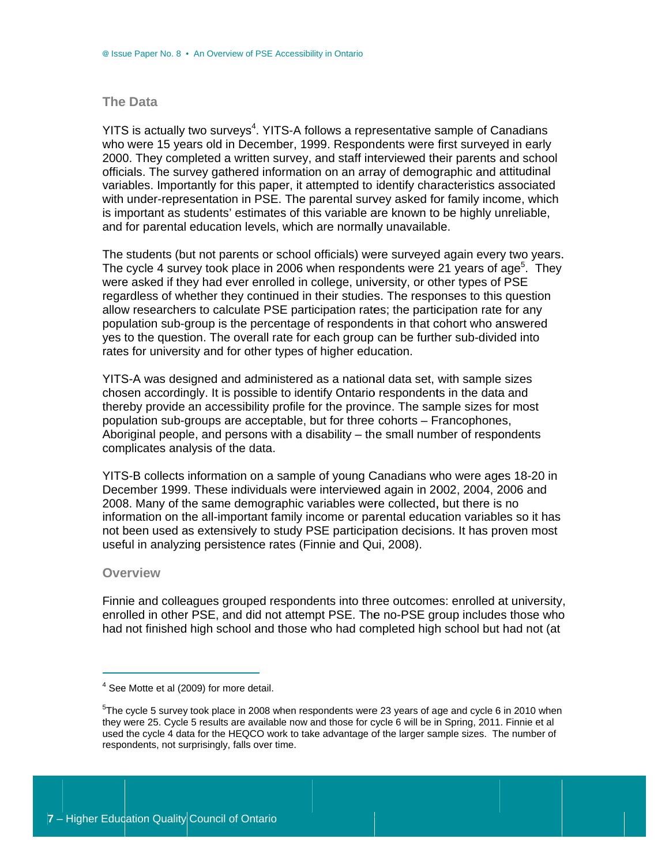#### **The Data**

YITS is actually two surveys<sup>4</sup>. YITS-A follows a representative sample of Canadians who were 15 years old in December, 1999. Respondents were first surveyed in early 2000. They completed a written survey, and staff interviewed their parents and school officials. The survey gathered information on an array of demographic and attitudinal variables. Importantly for this paper, it attempted to identify characteristics associated with under-representation in PSE. The parental survey asked for family income, which is important as students' estimates of this variable are known to be highly unreliable. and for parental education levels, which are normally unavailable.

The students (but not parents or school officials) were surveyed again every two years. The cycle 4 survey took place in 2006 when respondents were 21 years of age<sup>5</sup>. They were asked if they had ever enrolled in college, university, or other types of PSE regardless of whether they continued in their studies. The responses to this question allow researchers to calculate PSE participation rates; the participation rate for any population sub-group is the percentage of respondents in that cohort who answered yes to the question. The overall rate for each group can be further sub-divided into rates for university and for other types of higher education.

YITS-A was designed and administered as a national data set, with sample sizes chosen accordingly. It is possible to identify Ontario respondents in the data and thereby provide an accessibility profile for the province. The sample sizes for most population sub-groups are acceptable, but for three cohorts – Francophones, Aboriginal people, and persons with a disability – the small number of respondents complicates analysis of the data.

YITS-B collects information on a sample of young Canadians who were ages 18-20 in December 1999. These individuals were interviewed again in 2002, 2004, 2006 and 2008. Many of the same demographic variables were collected, but there is no information on the all-important family income or parental education variables so it has not been used as extensively to study PSE participation decisions. It has proven most useful in analyzing persistence rates (Finnie and Qui, 2008).

#### **Overview**

Finnie and colleagues grouped respondents into three outcomes: enrolled at university, enrolled in other PSE, and did not attempt PSE. The no-PSE group includes those who had not finished high school and those who had completed high school but had not (at

<sup>&</sup>lt;sup>4</sup> See Motte et al (2009) for more detail.

 ${}^{5}$ The cycle 5 survey took place in 2008 when respondents were 23 years of age and cycle 6 in 2010 when they were 25. Cycle 5 results are available now and those for cycle 6 will be in Spring, 2011. Finnie et al used the cycle 4 data for the HEQCO work to take advantage of the larger sample sizes. The number of respondents, not surprisingly, falls over time.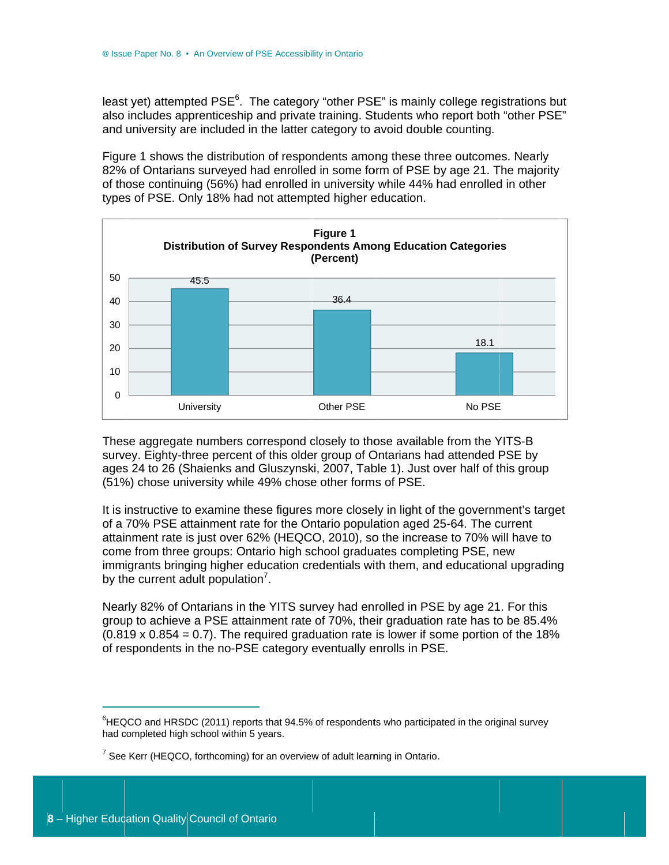least yet) attempted PSE<sup>6</sup>. The category "other PSE" is mainly college registrations but also includes apprenticeship and private training. Students who report both "other PSE" and university are included in the latter category to avoid double counting.

Figure 1 shows the distribution of respondents among these three outcomes. Nearly 82% of Ontarians surveyed had enrolled in some form of PSE by age 21. The majority of those continuing (56%) had enrolled in university while 44% had enrolled in other types of PSE. Only 18% had not attempted higher education.



These aggregate numbers correspond closely to those available from the YITS-B survey. Eighty-three percent of this older group of Ontarians had attended PSE by ages 24 to 26 (Shaienks and Gluszynski, 2007, Table 1). Just over half of this group (51%) chose university while 49% chose other forms of PSE.

It is instructive to examine these figures more closely in light of the government's target of a 70% PSE attainment rate for the Ontario population aged 25-64. The current attainment rate is just over 62% (HEQCO, 2010), so the increase to 70% will have to come from three groups: Ontario high school graduates completing PSE, new immigrants bringing higher education credentials with them, and educational upgrading by the current adult population<sup>7</sup>.

Nearly 82% of Ontarians in the YITS survey had enrolled in PSE by age 21. For this group to achieve a PSE attainment rate of 70%, their graduation rate has to be 85.4%  $(0.819 \times 0.854 = 0.7)$ . The required graduation rate is lower if some portion of the 18% of respondents in the no-PSE category eventually enrolls in PSE.

 ${}^{6}$ HEQCO and HRSDC (2011) reports that 94.5% of respondents who participated in the original survey had completed high school within 5 years.

 $7$  See Kerr (HEQCO, forthcoming) for an overview of adult learning in Ontario.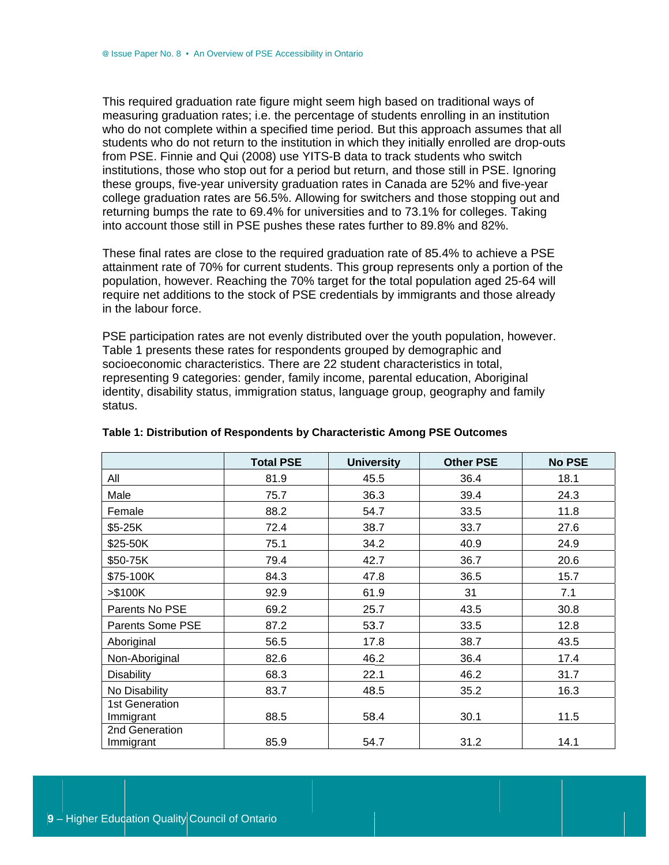This required graduation rate figure might seem high based on traditional ways of measuring graduation rates; i.e. the percentage of students enrolling in an institution who do not complete within a specified time period. But this approach assumes that all students who do not return to the institution in which they initially enrolled are drop-outs from PSE. Finnie and Qui (2008) use YITS-B data to track students who switch institutions, those who stop out for a period but return, and those still in PSE. Ignoring these groups, five-year university graduation rates in Canada are 52% and five-year college graduation rates are 56.5%. Allowing for switchers and those stopping out and returning bumps the rate to 69.4% for universities and to 73.1% for colleges. Taking into account those still in PSE pushes these rates further to 89.8% and 82%.

These final rates are close to the required graduation rate of 85.4% to achieve a PSE attainment rate of 70% for current students. This group represents only a portion of the population, however. Reaching the 70% target for the total population aged 25-64 will require net additions to the stock of PSE credentials by immigrants and those already in the labour force.

PSE participation rates are not evenly distributed over the youth population, however. Table 1 presents these rates for respondents grouped by demographic and socioeconomic characteristics. There are 22 student characteristics in total, representing 9 categories: gender, family income, parental education, Aboriginal identity, disability status, immigration status, language group, geography and family status.

|                             | <b>Total PSE</b> | <b>University</b> | <b>Other PSE</b> | <b>No PSE</b> |
|-----------------------------|------------------|-------------------|------------------|---------------|
| All                         | 81.9             | 45.5              | 36.4             | 18.1          |
| Male                        | 75.7             | 36.3              | 39.4             | 24.3          |
| Female                      | 88.2             | 54.7              | 33.5             | 11.8          |
| \$5-25K                     | 72.4             | 38.7              | 33.7             | 27.6          |
| \$25-50K                    | 75.1             | 34.2              | 40.9             | 24.9          |
| \$50-75K                    | 79.4             | 42.7              | 36.7             | 20.6          |
| \$75-100K                   | 84.3             | 47.8              | 36.5             | 15.7          |
| > \$100K                    | 92.9             | 61.9              | 31               | 7.1           |
| Parents No PSE              | 69.2             | 25.7              | 43.5             | 30.8          |
| Parents Some PSE            | 87.2             | 53.7              | 33.5             | 12.8          |
| Aboriginal                  | 56.5             | 17.8              | 38.7             | 43.5          |
| Non-Aboriginal              | 82.6             | 46.2              | 36.4             | 17.4          |
| <b>Disability</b>           | 68.3             | 22.1              | 46.2             | 31.7          |
| No Disability               | 83.7             | 48.5              | 35.2             | 16.3          |
| <b>1st Generation</b>       |                  |                   |                  |               |
| Immigrant                   | 88.5             | 58.4              | 30.1             | 11.5          |
| 2nd Generation<br>Immigrant | 85.9             | 54.7              | 31.2             | 14.1          |

#### Table 1: Distribution of Respondents by Characteristic Among PSE Outcomes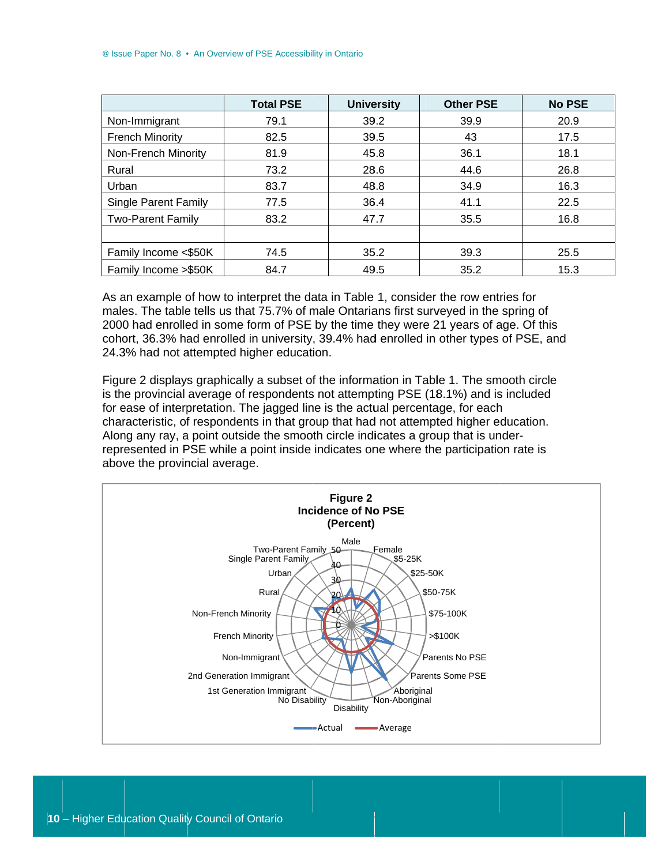|                             | <b>Total PSE</b> | <b>University</b> | <b>Other PSE</b> | <b>No PSE</b> |
|-----------------------------|------------------|-------------------|------------------|---------------|
| Non-Immigrant               | 79.1             | 39.2              | 39.9             | 20.9          |
| <b>French Minority</b>      | 82.5             | 39.5              | 43               | 17.5          |
| Non-French Minority         | 81.9             | 45.8              | 36.1             | 18.1          |
| Rural                       | 73.2             | 28.6              | 44.6             | 26.8          |
| Urban                       | 83.7             | 48.8              | 34.9             | 16.3          |
| <b>Single Parent Family</b> | 77.5             | 36.4              | 41.1             | 22.5          |
| <b>Two-Parent Family</b>    | 83.2             | 47.7              | 35.5             | 16.8          |
|                             |                  |                   |                  |               |
| Family Income <\$50K        | 74.5             | 35.2              | 39.3             | 25.5          |
| Family Income > \$50K       | 84.7             | 49.5              | 35.2             | 15.3          |

As an example of how to interpret the data in Table 1, consider the row entries for males. The table tells us that 75.7% of male Ontarians first surveyed in the spring of 2000 had enrolled in some form of PSE by the time they were 21 years of age. Of this cohort, 36.3% had enrolled in university, 39.4% had enrolled in other types of PSE, and 24.3% had not attempted higher education.

Figure 2 displays graphically a subset of the information in Table 1. The smooth circle is the provincial average of respondents not attempting PSE (18.1%) and is included for ease of interpretation. The jagged line is the actual percentage, for each characteristic, of respondents in that group that had not attempted higher education. Along any ray, a point outside the smooth circle indicates a group that is underrepresented in PSE while a point inside indicates one where the participation rate is above the provincial average.

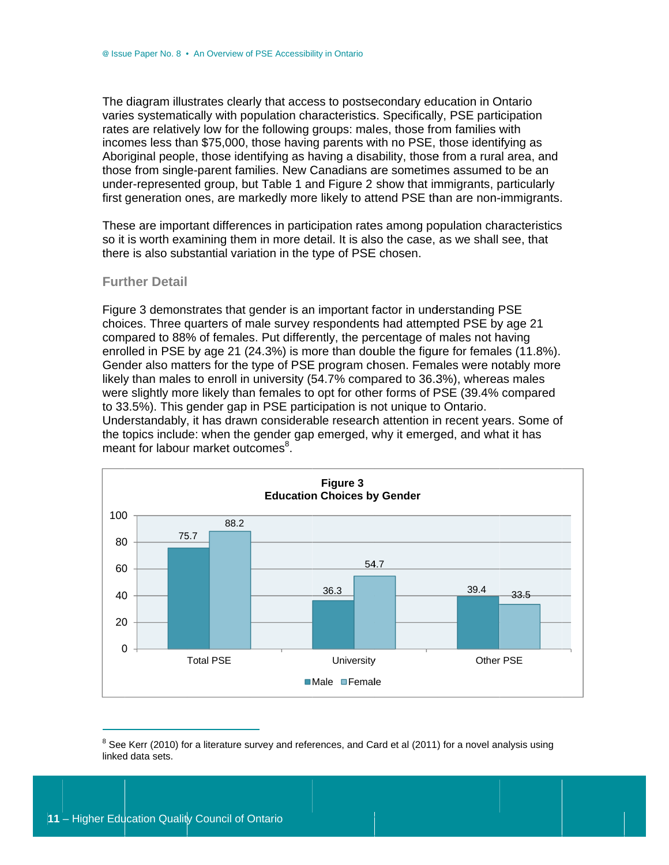The diagram illustrates clearly that access to postsecondary education in Ontario varies systematically with population characteristics. Specifically, PSE participation rates are relatively low for the following groups: males, those from families with incomes less than \$75,000, those having parents with no PSE, those identifying as Aboriginal people, those identifying as having a disability, those from a rural area, and those from single-parent families. New Canadians are sometimes assumed to be an under-represented group, but Table 1 and Figure 2 show that immigrants, particularly first generation ones, are markedly more likely to attend PSE than are non-immigrants.

These are important differences in participation rates among population characteristics so it is worth examining them in more detail. It is also the case, as we shall see, that there is also substantial variation in the type of PSE chosen.

#### **Further Detail**

Figure 3 demonstrates that gender is an important factor in understanding PSE choices. Three quarters of male survey respondents had attempted PSE by age 21 compared to 88% of females. Put differently, the percentage of males not having enrolled in PSE by age 21 (24.3%) is more than double the figure for females (11.8%). Gender also matters for the type of PSE program chosen. Females were notably more likely than males to enroll in university (54.7% compared to 36.3%), whereas males were slightly more likely than females to opt for other forms of PSE (39.4% compared to 33.5%). This gender gap in PSE participation is not unique to Ontario. Understandably, it has drawn considerable research attention in recent years. Some of the topics include: when the gender gap emerged, why it emerged, and what it has meant for labour market outcomes<sup>8</sup>.



 $^8$  See Kerr (2010) for a literature survey and references, and Card et al (2011) for a novel analysis using linked data sets.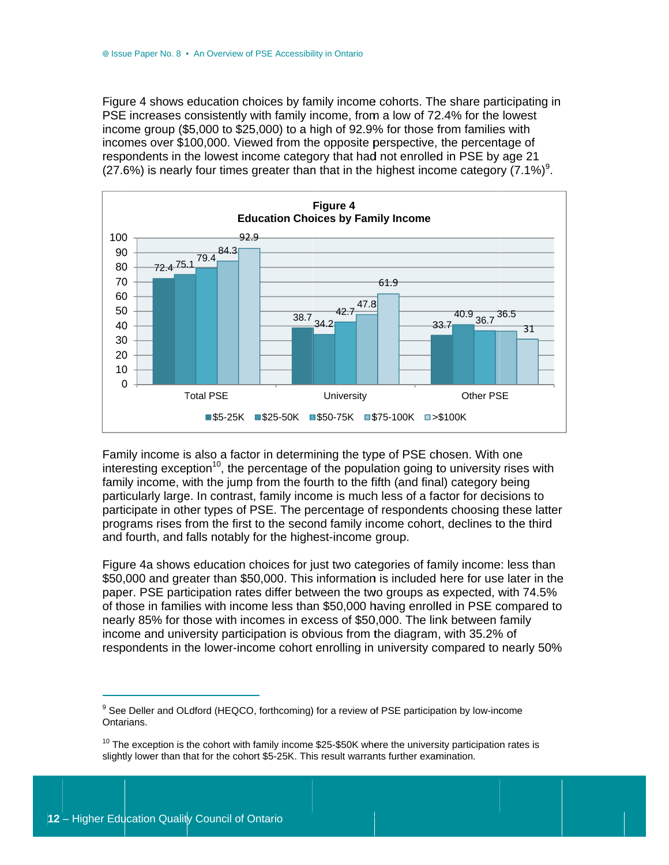Figure 4 shows education choices by family income cohorts. The share participating in PSE increases consistently with family income, from a low of 72.4% for the lowest income group (\$5,000 to \$25,000) to a high of 92.9% for those from families with incomes over \$100,000. Viewed from the opposite perspective, the percentage of respondents in the lowest income category that had not enrolled in PSE by age 21 (27.6%) is nearly four times greater than that in the highest income category (7.1%)<sup>9</sup>.



Family income is also a factor in determining the type of PSE chosen. With one interesting exception<sup>10</sup>, the percentage of the population going to university rises with family income, with the jump from the fourth to the fifth (and final) category being particularly large. In contrast, family income is much less of a factor for decisions to participate in other types of PSE. The percentage of respondents choosing these latter programs rises from the first to the second family income cohort, declines to the third and fourth, and falls notably for the highest-income group.

Figure 4a shows education choices for just two categories of family income: less than \$50,000 and greater than \$50,000. This information is included here for use later in the paper. PSE participation rates differ between the two groups as expected, with 74.5% of those in families with income less than \$50,000 having enrolled in PSE compared to nearly 85% for those with incomes in excess of \$50,000. The link between family income and university participation is obvious from the diagram, with 35.2% of respondents in the lower-income cohort enrolling in university compared to nearly 50%

<sup>&</sup>lt;sup>9</sup> See Deller and OLdford (HEQCO, forthcoming) for a review of PSE participation by low-income Ontarians.

 $10$  The exception is the cohort with family income \$25-\$50K where the university participation rates is slightly lower than that for the cohort \$5-25K. This result warrants further examination.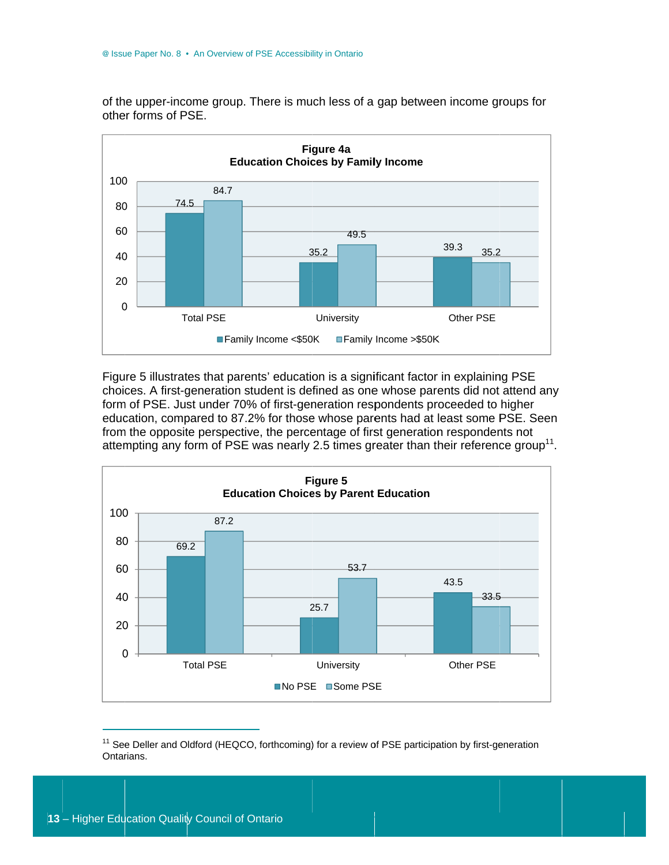of the upper-income group. There is much less of a gap between income groups for other forms of PSE.



Figure 5 illustrates that parents' education is a significant factor in explaining PSE choices. A first-generation student is defined as one whose parents did not attend any form of PSE. Just under 70% of first-generation respondents proceeded to higher education, compared to 87.2% for those whose parents had at least some PSE. Seen from the opposite perspective, the percentage of first generation respondents not attempting any form of PSE was nearly 2.5 times greater than their reference group<sup>11</sup>.



<sup>&</sup>lt;sup>11</sup> See Deller and Oldford (HEQCO, forthcoming) for a review of PSE participation by first-generation Ontarians.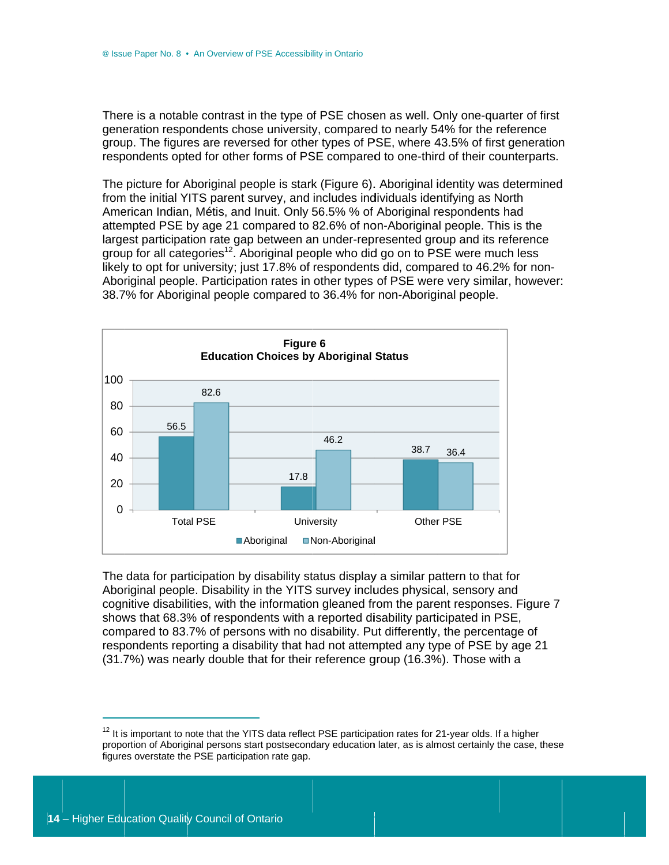There is a notable contrast in the type of PSE chosen as well. Only one-quarter of first generation respondents chose university, compared to nearly 54% for the reference group. The figures are reversed for other types of PSE, where 43.5% of first generation respondents opted for other forms of PSE compared to one-third of their counterparts.

The picture for Aboriginal people is stark (Figure 6). Aboriginal identity was determined from the initial YITS parent survey, and includes individuals identifying as North American Indian, Métis, and Inuit. Only 56.5% % of Aboriginal respondents had attempted PSE by age 21 compared to 82.6% of non-Aboriginal people. This is the largest participation rate gap between an under-represented group and its reference group for all categories<sup>12</sup>. Aboriginal people who did go on to PSE were much less likely to opt for university; just 17.8% of respondents did, compared to 46.2% for non-Aboriginal people. Participation rates in other types of PSE were very similar, however: 38.7% for Aboriginal people compared to 36.4% for non-Aboriginal people.



The data for participation by disability status display a similar pattern to that for Aboriginal people. Disability in the YITS survey includes physical, sensory and cognitive disabilities, with the information gleaned from the parent responses. Figure 7 shows that 68.3% of respondents with a reported disability participated in PSE, compared to 83.7% of persons with no disability. Put differently, the percentage of respondents reporting a disability that had not attempted any type of PSE by age 21 (31.7%) was nearly double that for their reference group (16.3%). Those with a

<sup>&</sup>lt;sup>12</sup> It is important to note that the YITS data reflect PSE participation rates for 21-year olds. If a higher proportion of Aboriginal persons start postsecondary education later, as is almost certainly the case, these figures overstate the PSE participation rate gap.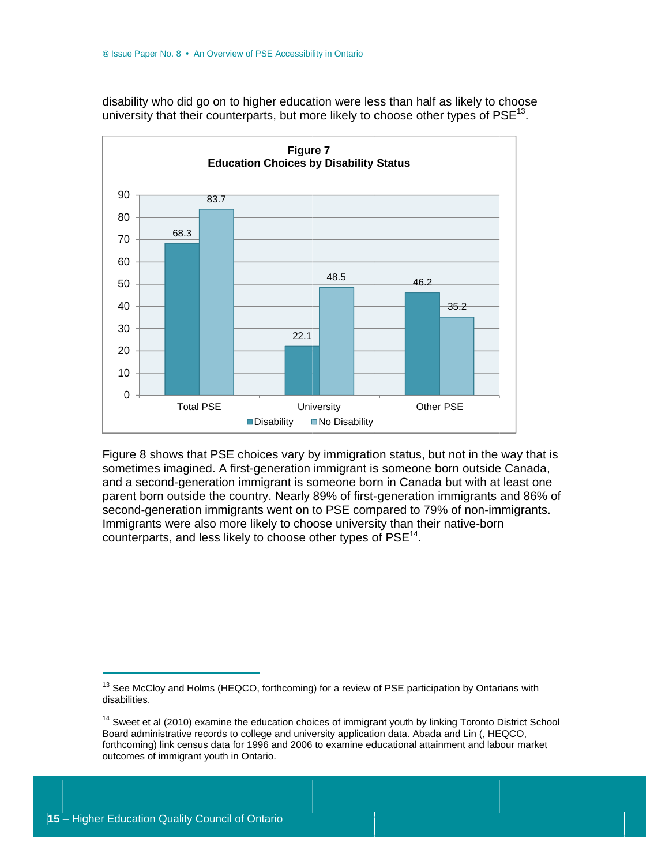disability who did go on to higher education were less than half as likely to choose university that their counterparts, but more likely to choose other types of PSE<sup>13</sup>.



Figure 8 shows that PSE choices vary by immigration status, but not in the way that is sometimes imagined. A first-generation immigrant is someone born outside Canada, and a second-generation immigrant is someone born in Canada but with at least one parent born outside the country. Nearly 89% of first-generation immigrants and 86% of second-generation immigrants went on to PSE compared to 79% of non-immigrants. Immigrants were also more likely to choose university than their native-born counterparts, and less likely to choose other types of PSE<sup>14</sup>.

<sup>&</sup>lt;sup>13</sup> See McCloy and Holms (HEQCO, forthcoming) for a review of PSE participation by Ontarians with disabilities.

<sup>&</sup>lt;sup>14</sup> Sweet et al (2010) examine the education choices of immigrant youth by linking Toronto District School Board administrative records to college and university application data. Abada and Lin (, HEQCO, forthcoming) link census data for 1996 and 2006 to examine educational attainment and labour market outcomes of immigrant youth in Ontario.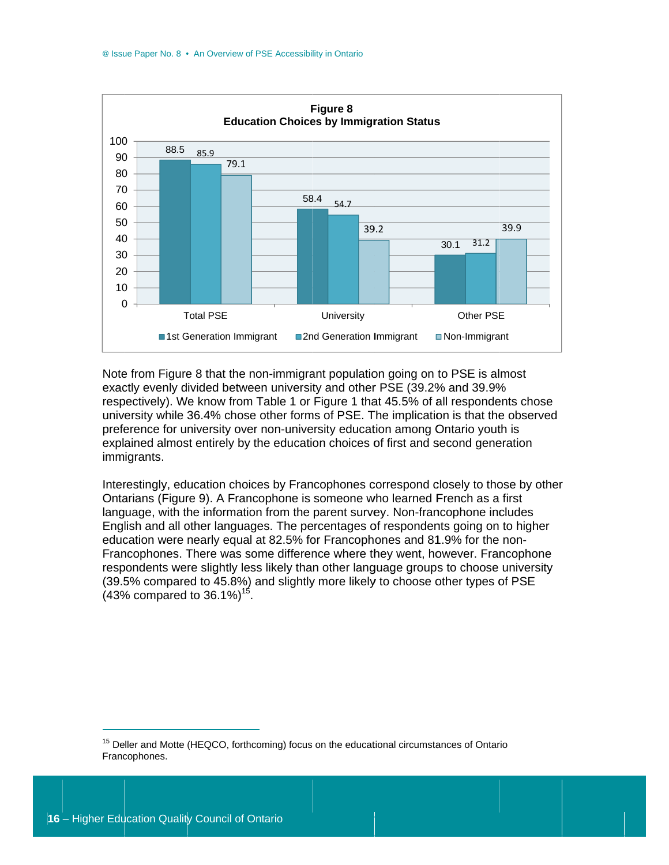

Note from Figure 8 that the non-immigrant population going on to PSE is almost exactly evenly divided between university and other PSE (39.2% and 39.9% respectively). We know from Table 1 or Figure 1 that 45.5% of all respondents chose university while 36.4% chose other forms of PSE. The implication is that the observed preference for university over non-university education among Ontario youth is explained almost entirely by the education choices of first and second generation immigrants.

Interestingly, education choices by Francophones correspond closely to those by other Ontarians (Figure 9). A Francophone is someone who learned French as a first language, with the information from the parent survey. Non-francophone includes English and all other languages. The percentages of respondents going on to higher education were nearly equal at 82.5% for Francophones and 81.9% for the non-Francophones. There was some difference where they went, however. Francophone respondents were slightly less likely than other language groups to choose university (39.5% compared to 45.8%) and slightly more likely to choose other types of PSE  $(43\%$  compared to 36.1%)<sup>15</sup>.

<sup>&</sup>lt;sup>15</sup> Deller and Motte (HEQCO, forthcoming) focus on the educational circumstances of Ontario Francophones.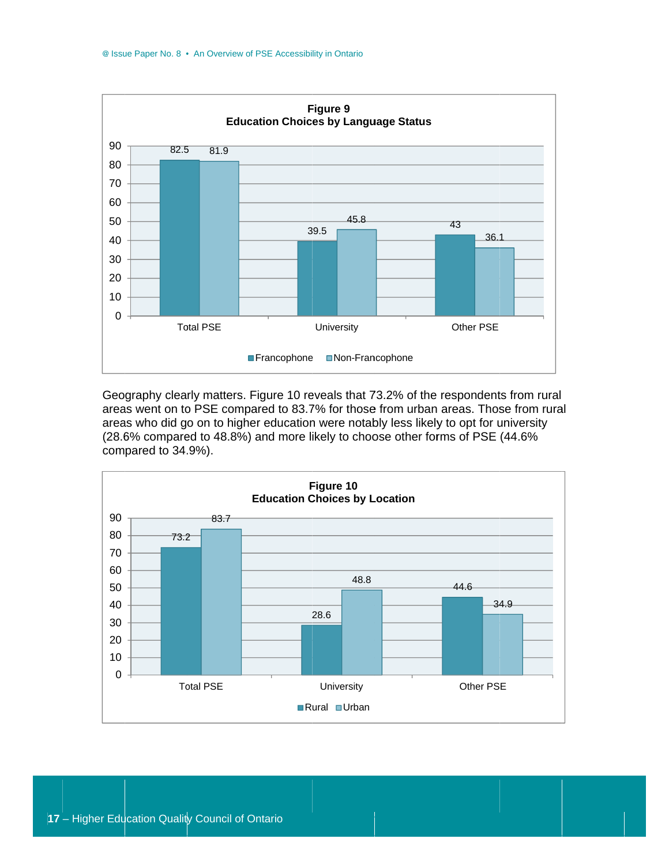

Geography clearly matters. Figure 10 reveals that 73.2% of the respondents from rural areas went on to PSE compared to 83.7% for those from urban areas. Those from rural areas who did go on to higher education were notably less likely to opt for university (28.6% compared to 48.8%) and more likely to choose other forms of PSE (44.6%) compared to 34.9%).

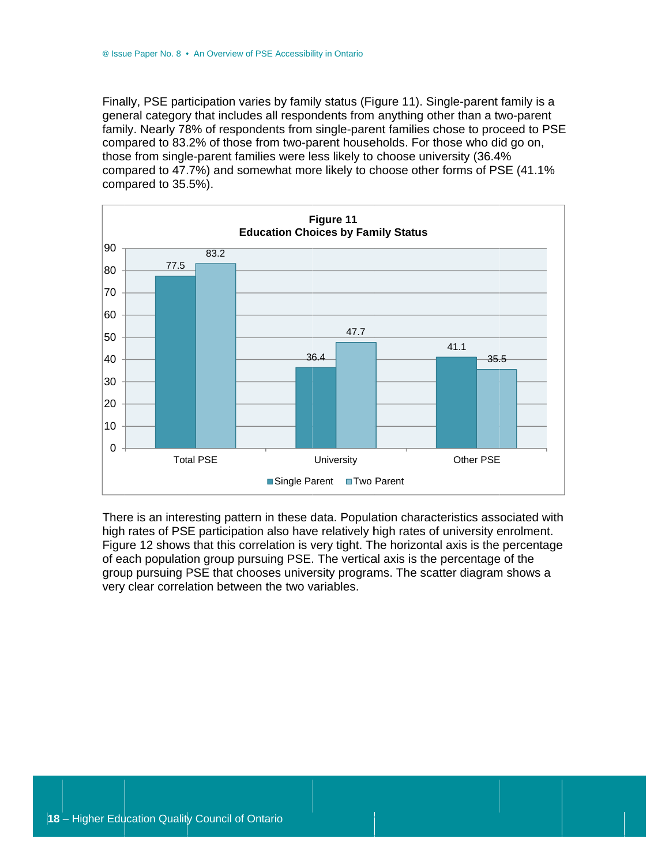Finally, PSE participation varies by family status (Figure 11). Single-parent family is a general category that includes all respondents from anything other than a two-parent family. Nearly 78% of respondents from single-parent families chose to proceed to PSE compared to 83.2% of those from two-parent households. For those who did go on, those from single-parent families were less likely to choose university (36.4% compared to 47.7%) and somewhat more likely to choose other forms of PSE (41.1%) compared to 35.5%).



There is an interesting pattern in these data. Population characteristics associated with high rates of PSE participation also have relatively high rates of university enrolment. Figure 12 shows that this correlation is very tight. The horizontal axis is the percentage of each population group pursuing PSE. The vertical axis is the percentage of the group pursuing PSE that chooses university programs. The scatter diagram shows a very clear correlation between the two variables.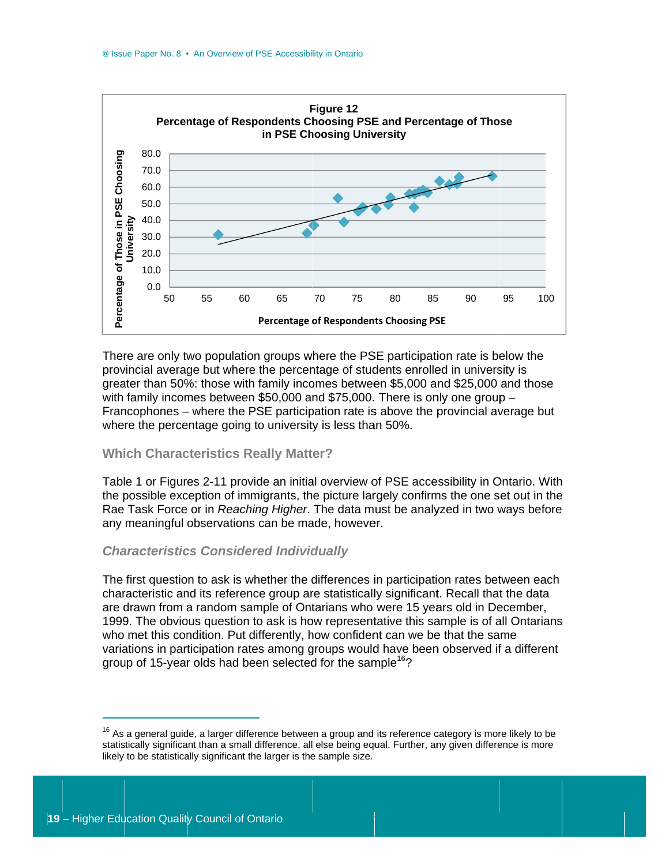

There are only two population groups where the PSE participation rate is below the provincial average but where the percentage of students enrolled in university is greater than 50%: those with family incomes between \$5,000 and \$25,000 and those with family incomes between \$50,000 and \$75,000. There is only one group  $-$ Francophones – where the PSE participation rate is above the provincial average but where the percentage going to university is less than 50%.

#### **Which Characteristics Really Matter?**

Table 1 or Figures 2-11 provide an initial overview of PSE accessibility in Ontario. With the possible exception of immigrants, the picture largely confirms the one set out in the Rae Task Force or in Reaching Higher. The data must be analyzed in two ways before any meaningful observations can be made, however.

#### **Characteristics Considered Individually**

The first question to ask is whether the differences in participation rates between each characteristic and its reference group are statistically significant. Recall that the data are drawn from a random sample of Ontarians who were 15 years old in December, 1999. The obvious question to ask is how representative this sample is of all Ontarians who met this condition. Put differently, how confident can we be that the same variations in participation rates among groups would have been observed if a different aroup of 15-year olds had been selected for the sample<sup>16</sup>?

<sup>&</sup>lt;sup>16</sup> As a general guide, a larger difference between a group and its reference category is more likely to be statistically significant than a small difference, all else being equal. Further, any given difference is more likely to be statistically significant the larger is the sample size.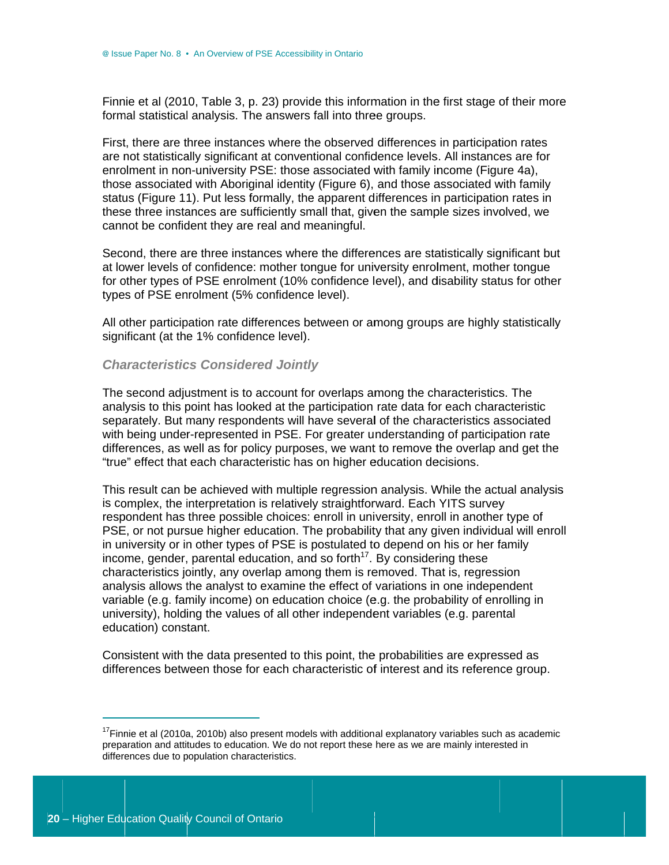Finnie et al (2010, Table 3, p. 23) provide this information in the first stage of their more formal statistical analysis. The answers fall into three groups.

First, there are three instances where the observed differences in participation rates are not statistically significant at conventional confidence levels. All instances are for enrolment in non-university PSE: those associated with family income (Figure 4a). those associated with Aboriginal identity (Figure 6), and those associated with family status (Figure 11). Put less formally, the apparent differences in participation rates in these three instances are sufficiently small that, given the sample sizes involved, we cannot be confident they are real and meaningful.

Second, there are three instances where the differences are statistically significant but at lower levels of confidence: mother tonque for university enrolment, mother tonque for other types of PSE enrolment (10% confidence level), and disability status for other types of PSE enrolment (5% confidence level).

All other participation rate differences between or among groups are highly statistically significant (at the 1% confidence level).

#### **Characteristics Considered Jointly**

The second adjustment is to account for overlaps among the characteristics. The analysis to this point has looked at the participation rate data for each characteristic separately. But many respondents will have several of the characteristics associated with being under-represented in PSE. For greater understanding of participation rate differences, as well as for policy purposes, we want to remove the overlap and get the "true" effect that each characteristic has on higher education decisions.

This result can be achieved with multiple regression analysis. While the actual analysis is complex, the interpretation is relatively straightforward. Each YITS survey respondent has three possible choices: enroll in university, enroll in another type of PSE, or not pursue higher education. The probability that any given individual will enroll in university or in other types of PSE is postulated to depend on his or her family income, gender, parental education, and so forth<sup>17</sup>. By considering these characteristics jointly, any overlap among them is removed. That is, regression analysis allows the analyst to examine the effect of variations in one independent variable (e.g. family income) on education choice (e.g. the probability of enrolling in university), holding the values of all other independent variables (e.g. parental education) constant.

Consistent with the data presented to this point, the probabilities are expressed as differences between those for each characteristic of interest and its reference group.

<sup>&</sup>lt;sup>17</sup> Finnie et al (2010a, 2010b) also present models with additional explanatory variables such as academic preparation and attitudes to education. We do not report these here as we are mainly interested in differences due to population characteristics.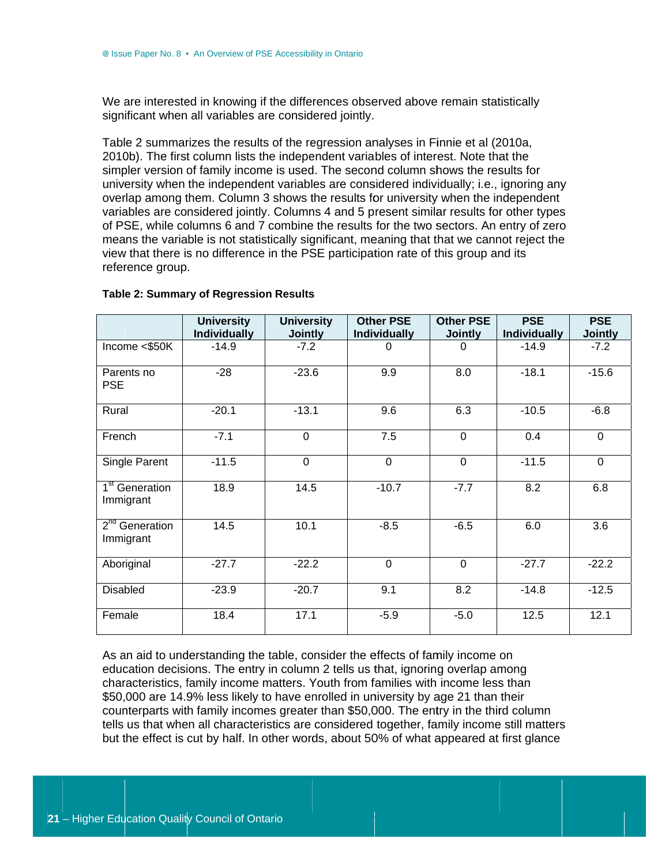We are interested in knowing if the differences observed above remain statistically significant when all variables are considered jointly.

Table 2 summarizes the results of the regression analyses in Finnie et al (2010a, 2010b). The first column lists the independent variables of interest. Note that the simpler version of family income is used. The second column shows the results for university when the independent variables are considered individually; i.e., ignoring any overlap among them. Column 3 shows the results for university when the independent variables are considered jointly. Columns 4 and 5 present similar results for other types of PSE, while columns 6 and 7 combine the results for the two sectors. An entry of zero means the variable is not statistically significant, meaning that that we cannot reject the view that there is no difference in the PSE participation rate of this group and its reference group.

|                                         | <b>University</b><br><b>Individually</b> | <b>University</b><br><b>Jointly</b> | <b>Other PSE</b><br><b>Individually</b> | <b>Other PSE</b><br><b>Jointly</b> | <b>PSE</b><br><b>Individually</b> | <b>PSE</b><br><b>Jointly</b> |
|-----------------------------------------|------------------------------------------|-------------------------------------|-----------------------------------------|------------------------------------|-----------------------------------|------------------------------|
| Income $<$ \$50K                        | $-14.9$                                  | $-7.2$                              | 0                                       | 0                                  | $-14.9$                           | $-7.2$                       |
| Parents no<br><b>PSE</b>                | $-28$                                    | $-23.6$                             | 9.9                                     | 8.0                                | $-18.1$                           | $-15.6$                      |
| Rural                                   | $-20.1$                                  | $-13.1$                             | 9.6                                     | 6.3                                | $-10.5$                           | $-6.8$                       |
| French                                  | $-7.1$                                   | $\overline{0}$                      | 7.5                                     | $\mathbf{0}$                       | 0.4                               | $\mathbf 0$                  |
| Single Parent                           | $-11.5$                                  | $\mathbf 0$                         | $\mathbf 0$                             | $\mathbf 0$                        | $-11.5$                           | $\mathbf 0$                  |
| 1 <sup>st</sup> Generation<br>Immigrant | 18.9                                     | 14.5                                | $-10.7$                                 | $-7.7$                             | 8.2                               | 6.8                          |
| 2 <sup>nd</sup> Generation<br>Immigrant | 14.5                                     | 10.1                                | $-8.5$                                  | $-6.5$                             | 6.0                               | 3.6                          |
| Aboriginal                              | $-27.7$                                  | $-22.2$                             | $\mathbf 0$                             | $\overline{0}$                     | $-27.7$                           | $-22.2$                      |
| <b>Disabled</b>                         | $-23.9$                                  | $-20.7$                             | 9.1                                     | 8.2                                | $-14.8$                           | $-12.5$                      |
| Female                                  | 18.4                                     | 17.1                                | $-5.9$                                  | $-5.0$                             | 12.5                              | 12.1                         |

#### **Table 2: Summary of Regression Results**

As an aid to understanding the table, consider the effects of family income on education decisions. The entry in column 2 tells us that, ignoring overlap among characteristics, family income matters. Youth from families with income less than \$50,000 are 14.9% less likely to have enrolled in university by age 21 than their counterparts with family incomes greater than \$50,000. The entry in the third column tells us that when all characteristics are considered together, family income still matters but the effect is cut by half. In other words, about 50% of what appeared at first glance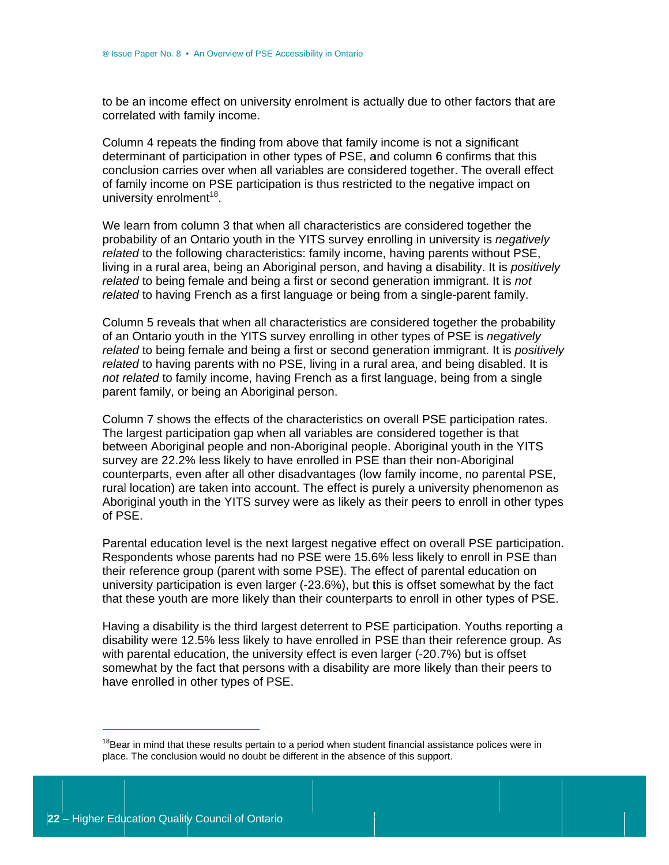to be an income effect on university enrolment is actually due to other factors that are correlated with family income.

Column 4 repeats the finding from above that family income is not a significant determinant of participation in other types of PSE, and column 6 confirms that this conclusion carries over when all variables are considered together. The overall effect of family income on PSE participation is thus restricted to the negative impact on university enrolment<sup>18</sup>.

We learn from column 3 that when all characteristics are considered together the probability of an Ontario youth in the YITS survey enrolling in university is *negatively* related to the following characteristics: family income, having parents without PSE, living in a rural area, being an Aboriginal person, and having a disability. It is positively related to being female and being a first or second generation immigrant. It is not related to having French as a first language or being from a single-parent family.

Column 5 reveals that when all characteristics are considered together the probability of an Ontario youth in the YITS survey enrolling in other types of PSE is negatively related to being female and being a first or second generation immigrant. It is positively related to having parents with no PSE, living in a rural area, and being disabled. It is not related to family income, having French as a first language, being from a single parent family, or being an Aboriginal person.

Column 7 shows the effects of the characteristics on overall PSE participation rates. The largest participation gap when all variables are considered together is that between Aboriginal people and non-Aboriginal people. Aboriginal youth in the YITS survey are 22.2% less likely to have enrolled in PSE than their non-Aboriginal counterparts, even after all other disadvantages (low family income, no parental PSE, rural location) are taken into account. The effect is purely a university phenomenon as Aboriginal youth in the YITS survey were as likely as their peers to enroll in other types of PSE.

Parental education level is the next largest negative effect on overall PSE participation. Respondents whose parents had no PSE were 15.6% less likely to enroll in PSE than their reference group (parent with some PSE). The effect of parental education on university participation is even larger (-23.6%), but this is offset somewhat by the fact that these youth are more likely than their counterparts to enroll in other types of PSE.

Having a disability is the third largest deterrent to PSE participation. Youths reporting a disability were 12.5% less likely to have enrolled in PSE than their reference group. As with parental education, the university effect is even larger (-20.7%) but is offset somewhat by the fact that persons with a disability are more likely than their peers to have enrolled in other types of PSE.

<sup>&</sup>lt;sup>18</sup>Bear in mind that these results pertain to a period when student financial assistance polices were in place. The conclusion would no doubt be different in the absence of this support.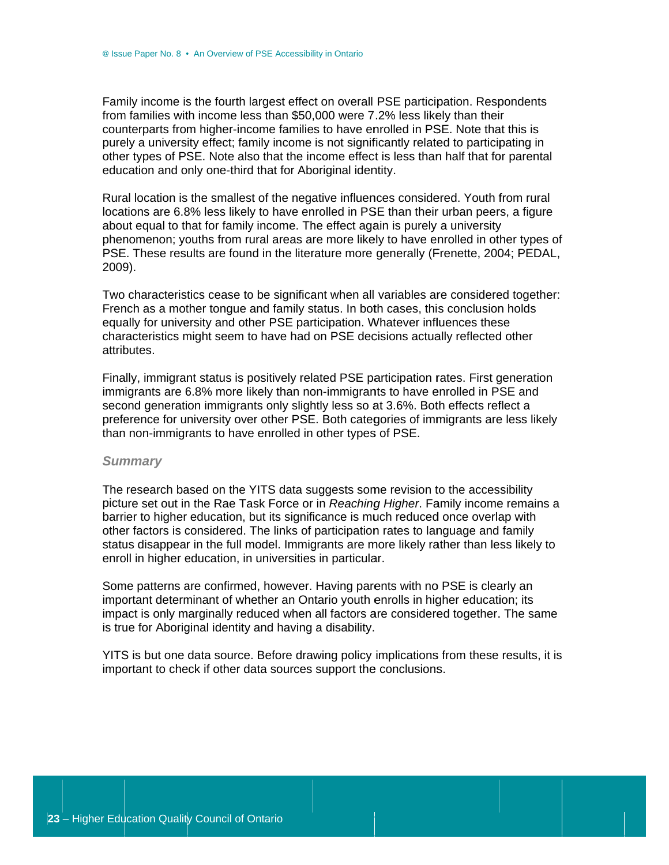Family income is the fourth largest effect on overall PSE participation. Respondents from families with income less than \$50,000 were 7.2% less likely than their counterparts from higher-income families to have enrolled in PSE. Note that this is purely a university effect; family income is not significantly related to participating in other types of PSE. Note also that the income effect is less than half that for parental education and only one-third that for Aboriginal identity.

Rural location is the smallest of the negative influences considered. Youth from rural locations are 6.8% less likely to have enrolled in PSE than their urban peers, a figure about equal to that for family income. The effect again is purely a university phenomenon; youths from rural areas are more likely to have enrolled in other types of PSE. These results are found in the literature more generally (Frenette, 2004; PEDAL,  $2009$ ).

Two characteristics cease to be significant when all variables are considered together: French as a mother tongue and family status. In both cases, this conclusion holds equally for university and other PSE participation. Whatever influences these characteristics might seem to have had on PSE decisions actually reflected other attributes.

Finally, immigrant status is positively related PSE participation rates. First generation immigrants are 6.8% more likely than non-immigrants to have enrolled in PSE and second generation immigrants only slightly less so at 3.6%. Both effects reflect a preference for university over other PSE. Both categories of immigrants are less likely than non-immigrants to have enrolled in other types of PSE.

#### **Summary**

The research based on the YITS data suggests some revision to the accessibility picture set out in the Rae Task Force or in Reaching Higher. Family income remains a barrier to higher education, but its significance is much reduced once overlap with other factors is considered. The links of participation rates to language and family status disappear in the full model. Immigrants are more likely rather than less likely to enroll in higher education, in universities in particular.

Some patterns are confirmed, however. Having parents with no PSE is clearly an important determinant of whether an Ontario youth enrolls in higher education; its impact is only marginally reduced when all factors are considered together. The same is true for Aboriginal identity and having a disability.

YITS is but one data source. Before drawing policy implications from these results, it is important to check if other data sources support the conclusions.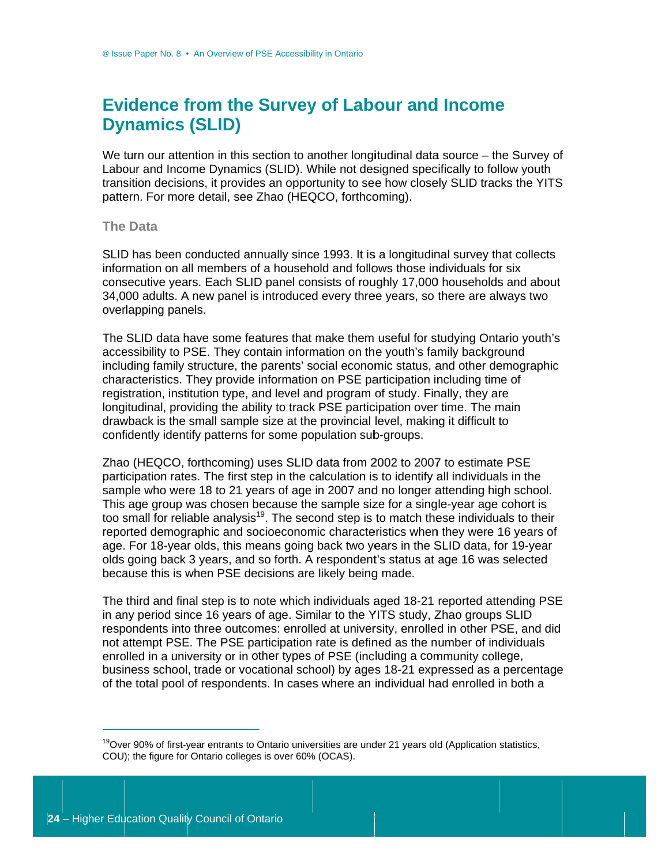## **Evidence from the Survey of Labour and Income Dynamics (SLID)**

We turn our attention in this section to another longitudinal data source - the Survey of Labour and Income Dynamics (SLID). While not designed specifically to follow youth transition decisions, it provides an opportunity to see how closely SLID tracks the YITS pattern. For more detail, see Zhao (HEQCO, forthcoming).

#### The Data

SLID has been conducted annually since 1993. It is a longitudinal survey that collects information on all members of a household and follows those individuals for six consecutive years. Each SLID panel consists of roughly 17,000 households and about 34,000 adults. A new panel is introduced every three years, so there are always two overlapping panels.

The SLID data have some features that make them useful for studying Ontario youth's accessibility to PSE. They contain information on the youth's family background including family structure, the parents' social economic status, and other demographic characteristics. They provide information on PSE participation including time of registration, institution type, and level and program of study. Finally, they are longitudinal, providing the ability to track PSE participation over time. The main drawback is the small sample size at the provincial level, making it difficult to confidently identify patterns for some population sub-groups.

Zhao (HEQCO, forthcoming) uses SLID data from 2002 to 2007 to estimate PSE participation rates. The first step in the calculation is to identify all individuals in the sample who were 18 to 21 years of age in 2007 and no longer attending high school. This age group was chosen because the sample size for a single-year age cohort is too small for reliable analysis<sup>19</sup>. The second step is to match these individuals to their reported demographic and socioeconomic characteristics when they were 16 years of age. For 18-year olds, this means going back two years in the SLID data, for 19-year olds going back 3 years, and so forth. A respondent's status at age 16 was selected because this is when PSE decisions are likely being made.

The third and final step is to note which individuals aged 18-21 reported attending PSE in any period since 16 years of age. Similar to the YITS study, Zhao groups SLID respondents into three outcomes: enrolled at university, enrolled in other PSE, and did not attempt PSE. The PSE participation rate is defined as the number of individuals enrolled in a university or in other types of PSE (including a community college, business school, trade or vocational school) by ages 18-21 expressed as a percentage of the total pool of respondents. In cases where an individual had enrolled in both a

<sup>&</sup>lt;sup>19</sup>Over 90% of first-year entrants to Ontario universities are under 21 years old (Application statistics, COU); the figure for Ontario colleges is over 60% (OCAS).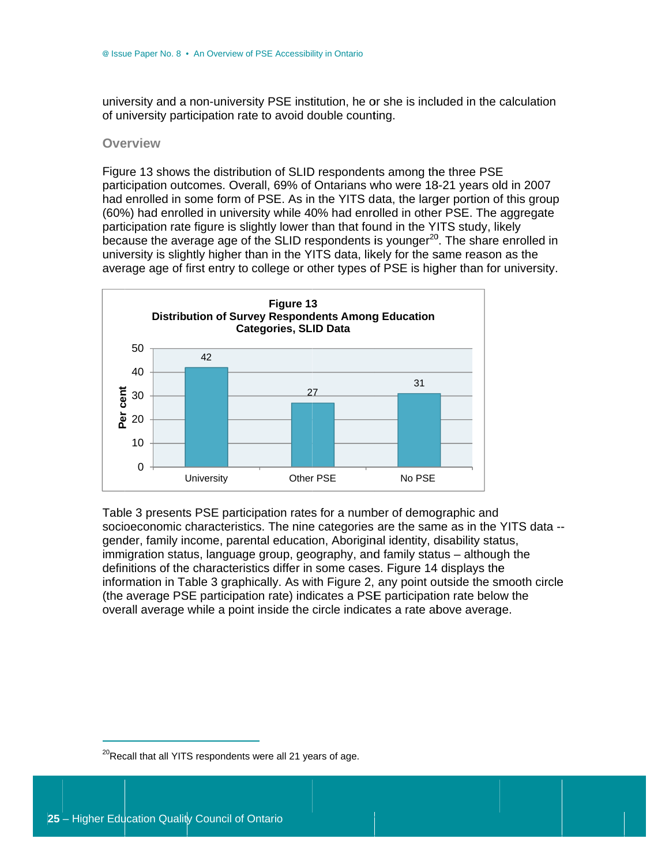university and a non-university PSE institution, he or she is included in the calculation of university participation rate to avoid double counting.

#### **Overview**

Figure 13 shows the distribution of SLID respondents among the three PSE participation outcomes. Overall, 69% of Ontarians who were 18-21 years old in 2007 had enrolled in some form of PSE. As in the YITS data, the larger portion of this group (60%) had enrolled in university while 40% had enrolled in other PSE. The aggregate participation rate figure is slightly lower than that found in the YITS study, likely because the average age of the SLID respondents is younger<sup>20</sup>. The share enrolled in university is slightly higher than in the YITS data, likely for the same reason as the average age of first entry to college or other types of PSE is higher than for university.



Table 3 presents PSE participation rates for a number of demographic and socioeconomic characteristics. The nine categories are the same as in the YITS data -gender, family income, parental education, Aboriginal identity, disability status, immigration status, language group, geography, and family status – although the definitions of the characteristics differ in some cases. Figure 14 displays the information in Table 3 graphically. As with Figure 2, any point outside the smooth circle (the average PSE participation rate) indicates a PSE participation rate below the overall average while a point inside the circle indicates a rate above average.

<sup>&</sup>lt;sup>20</sup>Recall that all YITS respondents were all 21 years of age.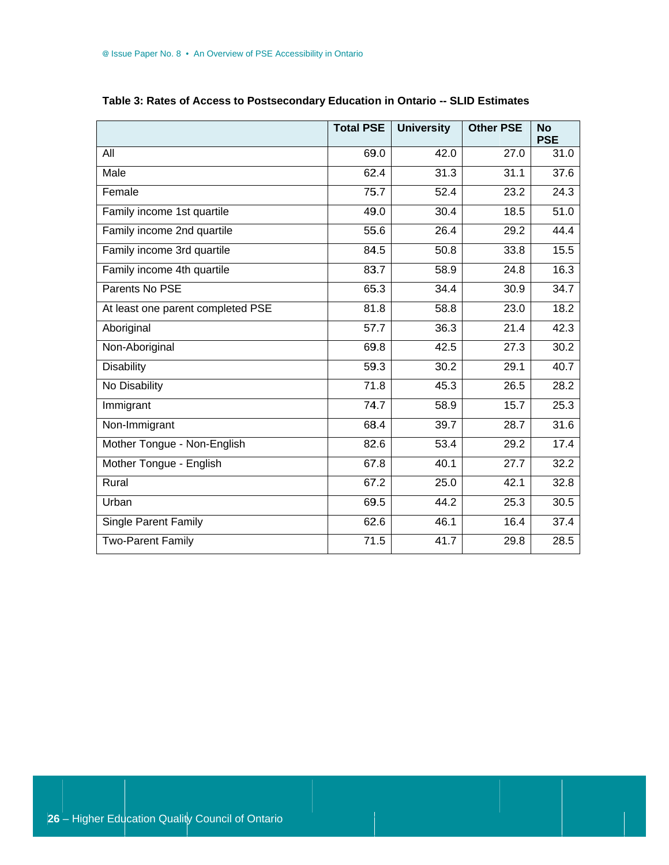|                                   | <b>Total PSE</b> | <b>University</b> | <b>Other PSE</b> | <b>No</b><br><b>PSE</b> |
|-----------------------------------|------------------|-------------------|------------------|-------------------------|
| All                               | 69.0             | 42.0              | 27.0             | 31.0                    |
| Male                              | 62.4             | 31.3              | 31.1             | 37.6                    |
| Female                            | 75.7             | 52.4              | 23.2             | 24.3                    |
| Family income 1st quartile        | 49.0             | 30.4              | 18.5             | 51.0                    |
| Family income 2nd quartile        | 55.6             | 26.4              | 29.2             | 44.4                    |
| Family income 3rd quartile        | 84.5             | 50.8              | 33.8             | 15.5                    |
| Family income 4th quartile        | 83.7             | 58.9              | 24.8             | 16.3                    |
| Parents No PSE                    | 65.3             | 34.4              | 30.9             | 34.7                    |
| At least one parent completed PSE | 81.8             | 58.8              | 23.0             | 18.2                    |
| Aboriginal                        | 57.7             | 36.3              | 21.4             | 42.3                    |
| Non-Aboriginal                    | 69.8             | 42.5              | 27.3             | 30.2                    |
| <b>Disability</b>                 | 59.3             | 30.2              | 29.1             | 40.7                    |
| No Disability                     | 71.8             | 45.3              | 26.5             | 28.2                    |
| Immigrant                         | 74.7             | 58.9              | 15.7             | 25.3                    |
| Non-Immigrant                     | 68.4             | 39.7              | 28.7             | 31.6                    |
| Mother Tongue - Non-English       | 82.6             | 53.4              | 29.2             | 17.4                    |
| Mother Tongue - English           | 67.8             | 40.1              | 27.7             | 32.2                    |
| Rural                             | 67.2             | 25.0              | 42.1             | 32.8                    |
| Urban                             | 69.5             | 44.2              | 25.3             | 30.5                    |
| <b>Single Parent Family</b>       | 62.6             | 46.1              | 16.4             | 37.4                    |
| <b>Two-Parent Family</b>          | 71.5             | 41.7              | 29.8             | 28.5                    |

**Tabl e 3: Rates of f Access to P Postseconda ry Educatio n in Ontario -- SLID Estim mates**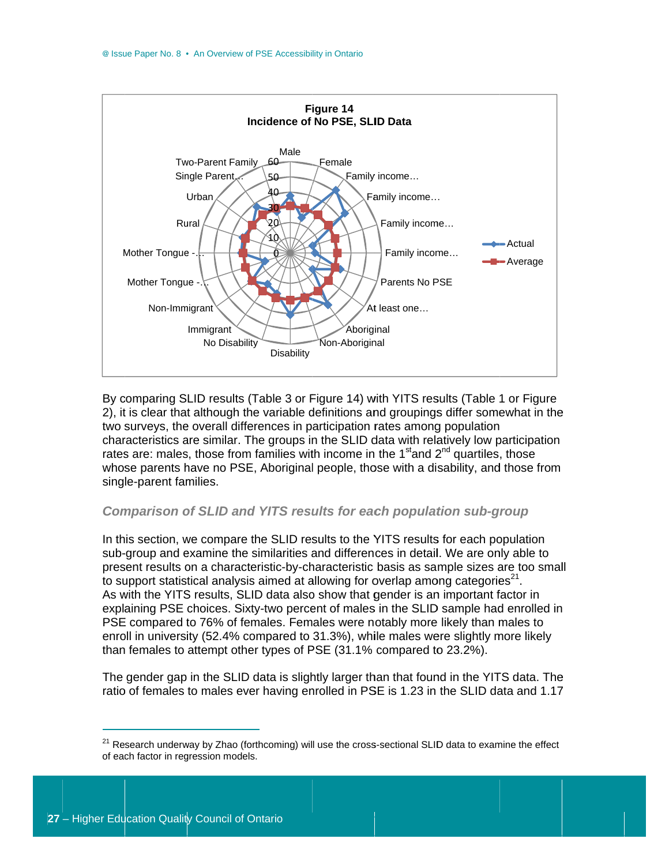

By comparing SLID results (Table 3 or Figure 14) with YITS results (Table 1 or Figure 2), it is clear that although the variable definitions and groupings differ somewhat in the two surveys, the overall differences in participation rates among population characteristics are similar. The groups in the SLID data with relatively low participation rates are: males, those from families with income in the 1<sup>st</sup>and  $2<sup>nd</sup>$  quartiles, those whose parents have no PSE, Aboriginal people, those with a disability, and those from single-parent families.

#### **Comparison of SLID and YITS results for each population sub-group**

In this section, we compare the SLID results to the YITS results for each population sub-group and examine the similarities and differences in detail. We are only able to present results on a characteristic-by-characteristic basis as sample sizes are too small to support statistical analysis aimed at allowing for overlap among categories<sup>21</sup>. As with the YITS results, SLID data also show that gender is an important factor in explaining PSE choices. Sixty-two percent of males in the SLID sample had enrolled in PSE compared to 76% of females. Females were notably more likely than males to enroll in university (52.4% compared to 31.3%), while males were slightly more likely than females to attempt other types of PSE (31.1% compared to 23.2%).

The gender gap in the SLID data is slightly larger than that found in the YITS data. The ratio of females to males ever having enrolled in PSE is 1.23 in the SLID data and 1.17

<sup>&</sup>lt;sup>21</sup> Research underway by Zhao (forthcoming) will use the cross-sectional SLID data to examine the effect of each factor in regression models.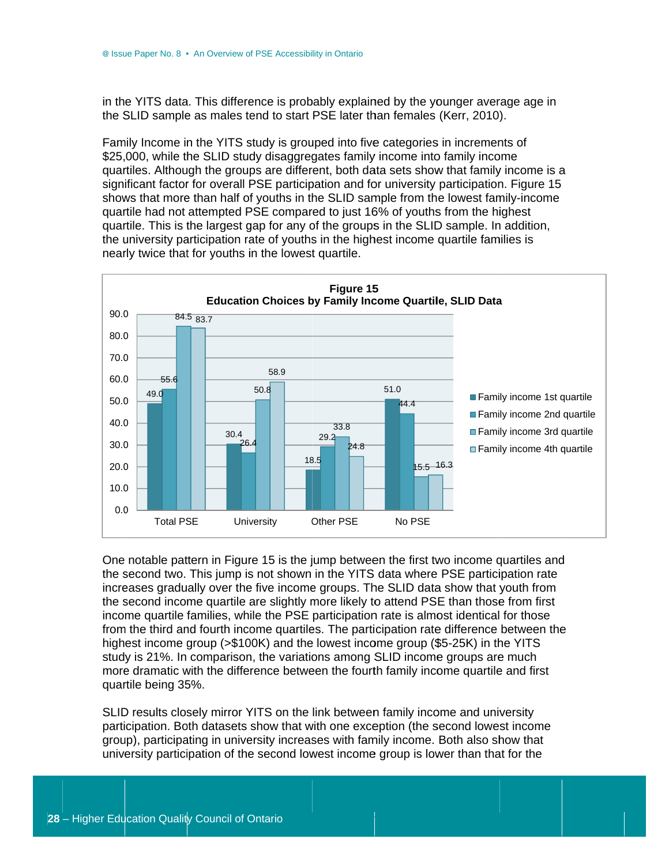in the YITS data. This difference is probably explained by the younger average age in the SLID sample as males tend to start PSE later than females (Kerr, 2010).

Family Income in the YITS study is grouped into five categories in increments of \$25,000, while the SLID study disaggregates family income into family income quartiles. Although the groups are different, both data sets show that family income is a significant factor for overall PSE participation and for university participation. Figure 15 shows that more than half of youths in the SLID sample from the lowest family-income quartile had not attempted PSE compared to just 16% of youths from the highest quartile. This is the largest gap for any of the groups in the SLID sample. In addition, the university participation rate of youths in the highest income quartile families is nearly twice that for youths in the lowest quartile.



One notable pattern in Figure 15 is the jump between the first two income quartiles and the second two. This jump is not shown in the YITS data where PSE participation rate increases gradually over the five income groups. The SLID data show that youth from the second income quartile are slightly more likely to attend PSE than those from first income quartile families, while the PSE participation rate is almost identical for those from the third and fourth income quartiles. The participation rate difference between the highest income group (>\$100K) and the lowest income group (\$5-25K) in the YITS study is 21%. In comparison, the variations among SLID income groups are much more dramatic with the difference between the fourth family income quartile and first quartile being 35%.

SLID results closely mirror YITS on the link between family income and university participation. Both datasets show that with one exception (the second lowest income group), participating in university increases with family income. Both also show that university participation of the second lowest income group is lower than that for the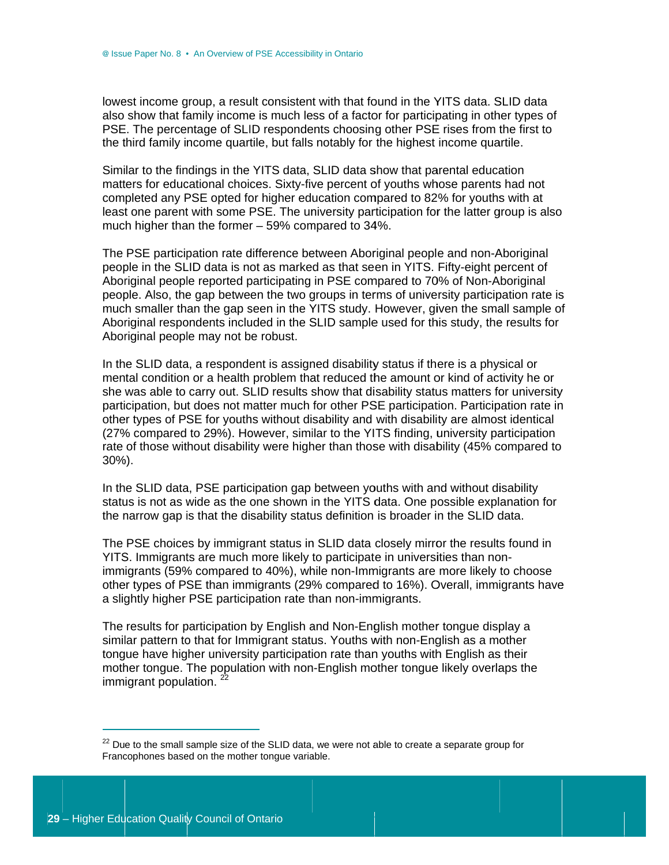lowest income group, a result consistent with that found in the YITS data. SLID data also show that family income is much less of a factor for participating in other types of PSE. The percentage of SLID respondents choosing other PSE rises from the first to the third family income quartile, but falls notably for the highest income quartile.

Similar to the findings in the YITS data, SLID data show that parental education matters for educational choices. Sixty-five percent of youths whose parents had not completed any PSE opted for higher education compared to 82% for youths with at least one parent with some PSE. The university participation for the latter group is also much higher than the former - 59% compared to 34%.

The PSE participation rate difference between Aboriginal people and non-Aboriginal people in the SLID data is not as marked as that seen in YITS. Fifty-eight percent of Aboriginal people reported participating in PSE compared to 70% of Non-Aboriginal people. Also, the gap between the two groups in terms of university participation rate is much smaller than the gap seen in the YITS study. However, given the small sample of Aboriginal respondents included in the SLID sample used for this study, the results for Aboriginal people may not be robust.

In the SLID data, a respondent is assigned disability status if there is a physical or mental condition or a health problem that reduced the amount or kind of activity he or she was able to carry out. SLID results show that disability status matters for university participation, but does not matter much for other PSE participation. Participation rate in other types of PSE for youths without disability and with disability are almost identical (27% compared to 29%). However, similar to the YITS finding, university participation rate of those without disability were higher than those with disability (45% compared to  $30\%$ ).

In the SLID data, PSE participation gap between youths with and without disability status is not as wide as the one shown in the YITS data. One possible explanation for the narrow gap is that the disability status definition is broader in the SLID data.

The PSE choices by immigrant status in SLID data closely mirror the results found in YITS. Immigrants are much more likely to participate in universities than nonimmigrants (59% compared to 40%), while non-Immigrants are more likely to choose other types of PSE than immigrants (29% compared to 16%). Overall, immigrants have a slightly higher PSE participation rate than non-immigrants.

The results for participation by English and Non-English mother tongue display a similar pattern to that for Immigrant status. Youths with non-English as a mother tongue have higher university participation rate than youths with English as their mother tongue. The population with non-English mother tongue likely overlaps the immigrant population.<sup>22</sup>

<sup>&</sup>lt;sup>22</sup> Due to the small sample size of the SLID data, we were not able to create a separate group for Francophones based on the mother tonque variable.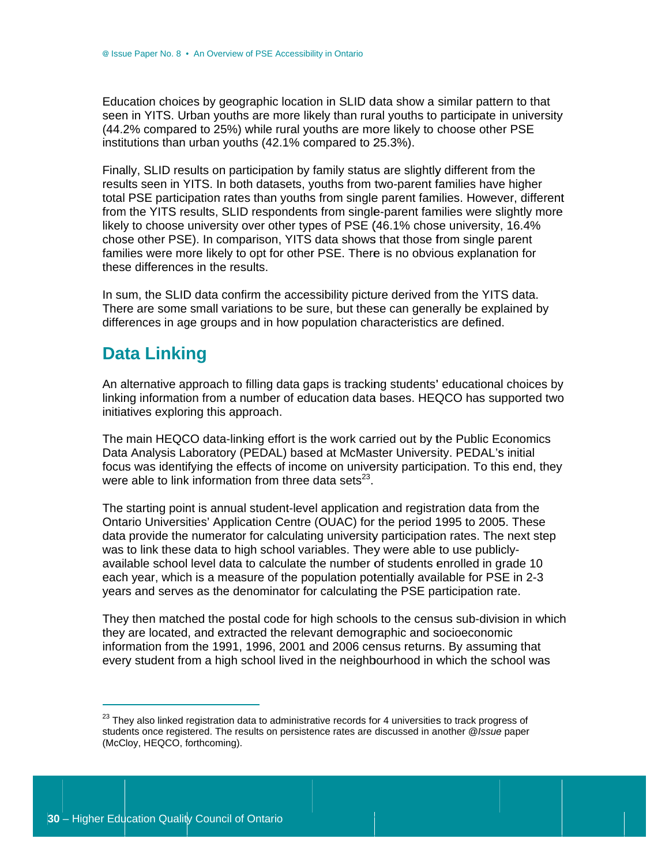Education choices by geographic location in SLID data show a similar pattern to that seen in YITS. Urban vouths are more likely than rural vouths to participate in university (44.2% compared to 25%) while rural youths are more likely to choose other PSE institutions than urban youths (42.1% compared to 25.3%).

Finally, SLID results on participation by family status are slightly different from the results seen in YITS. In both datasets, youths from two-parent families have higher total PSE participation rates than youths from single parent families. However, different from the YITS results, SLID respondents from single-parent families were slightly more likely to choose university over other types of PSE (46.1% chose university, 16.4% chose other PSE). In comparison, YITS data shows that those from single parent families were more likely to opt for other PSE. There is no obvious explanation for these differences in the results.

In sum, the SLID data confirm the accessibility picture derived from the YITS data. There are some small variations to be sure, but these can generally be explained by differences in age groups and in how population characteristics are defined.

## **Data Linking**

An alternative approach to filling data gaps is tracking students' educational choices by linking information from a number of education data bases. HEQCO has supported two initiatives exploring this approach.

The main HEQCO data-linking effort is the work carried out by the Public Economics Data Analysis Laboratory (PEDAL) based at McMaster University. PEDAL's initial focus was identifying the effects of income on university participation. To this end, they were able to link information from three data sets $^{23}$ .

The starting point is annual student-level application and registration data from the Ontario Universities' Application Centre (OUAC) for the period 1995 to 2005. These data provide the numerator for calculating university participation rates. The next step was to link these data to high school variables. They were able to use publiclyavailable school level data to calculate the number of students enrolled in grade 10 each year, which is a measure of the population potentially available for PSE in 2-3 years and serves as the denominator for calculating the PSE participation rate.

They then matched the postal code for high schools to the census sub-division in which they are located, and extracted the relevant demographic and socioeconomic information from the 1991, 1996, 2001 and 2006 census returns. By assuming that every student from a high school lived in the neighbourhood in which the school was

<sup>&</sup>lt;sup>23</sup> They also linked registration data to administrative records for 4 universities to track progress of students once registered. The results on persistence rates are discussed in another @Issue paper (McCloy, HEQCO, forthcoming).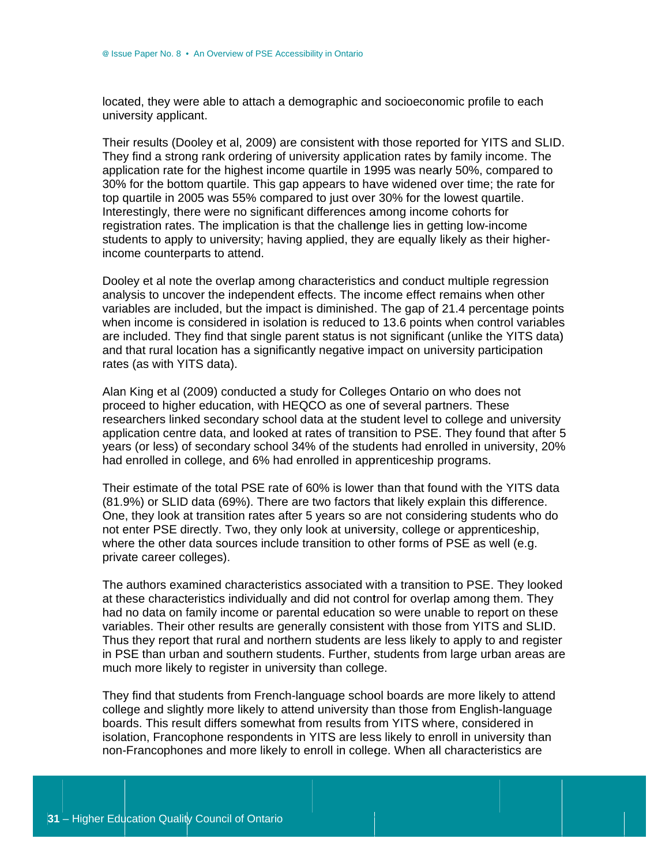located, they were able to attach a demographic and socioeconomic profile to each university applicant.

Their results (Dooley et al, 2009) are consistent with those reported for YITS and SLID. They find a strong rank ordering of university application rates by family income. The application rate for the highest income quartile in 1995 was nearly 50%, compared to 30% for the bottom quartile. This gap appears to have widened over time; the rate for top quartile in 2005 was 55% compared to just over 30% for the lowest quartile. Interestingly, there were no significant differences among income cohorts for registration rates. The implication is that the challenge lies in getting low-income students to apply to university; having applied, they are equally likely as their higherincome counterparts to attend.

Dooley et al note the overlap among characteristics and conduct multiple regression analysis to uncover the independent effects. The income effect remains when other variables are included, but the impact is diminished. The gap of 21.4 percentage points when income is considered in isolation is reduced to 13.6 points when control variables are included. They find that single parent status is not significant (unlike the YITS data) and that rural location has a significantly negative impact on university participation rates (as with YITS data).

Alan King et al (2009) conducted a study for Colleges Ontario on who does not proceed to higher education, with HEQCO as one of several partners. These researchers linked secondary school data at the student level to college and university application centre data, and looked at rates of transition to PSE. They found that after 5 years (or less) of secondary school 34% of the students had enrolled in university, 20% had enrolled in college, and 6% had enrolled in apprenticeship programs.

Their estimate of the total PSE rate of 60% is lower than that found with the YITS data (81.9%) or SLID data (69%). There are two factors that likely explain this difference. One, they look at transition rates after 5 years so are not considering students who do not enter PSE directly. Two, they only look at university, college or apprenticeship, where the other data sources include transition to other forms of PSE as well (e.g. private career colleges).

The authors examined characteristics associated with a transition to PSE. They looked at these characteristics individually and did not control for overlap among them. They had no data on family income or parental education so were unable to report on these variables. Their other results are generally consistent with those from YITS and SLID. Thus they report that rural and northern students are less likely to apply to and register in PSE than urban and southern students. Further, students from large urban areas are much more likely to register in university than college.

They find that students from French-language school boards are more likely to attend college and slightly more likely to attend university than those from English-language boards. This result differs somewhat from results from YITS where, considered in isolation, Francophone respondents in YITS are less likely to enroll in university than non-Francophones and more likely to enroll in college. When all characteristics are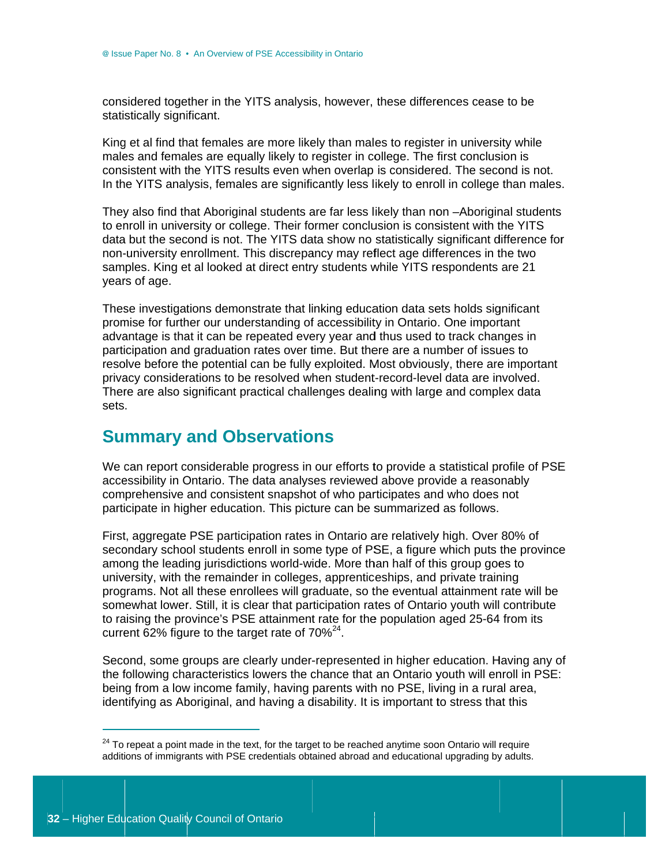considered together in the YITS analysis, however, these differences cease to be statistically significant.

King et al find that females are more likely than males to register in university while males and females are equally likely to register in college. The first conclusion is consistent with the YITS results even when overlap is considered. The second is not. In the YITS analysis, females are significantly less likely to enroll in college than males.

They also find that Aboriginal students are far less likely than non -Aboriginal students to enroll in university or college. Their former conclusion is consistent with the YITS data but the second is not. The YITS data show no statistically significant difference for non-university enrollment. This discrepancy may reflect age differences in the two samples. King et al looked at direct entry students while YITS respondents are 21 years of age.

These investigations demonstrate that linking education data sets holds significant promise for further our understanding of accessibility in Ontario. One important advantage is that it can be repeated every year and thus used to track changes in participation and graduation rates over time. But there are a number of issues to resolve before the potential can be fully exploited. Most obviously, there are important privacy considerations to be resolved when student-record-level data are involved. There are also significant practical challenges dealing with large and complex data sets.

### **Summary and Observations**

We can report considerable progress in our efforts to provide a statistical profile of PSE accessibility in Ontario. The data analyses reviewed above provide a reasonably comprehensive and consistent snapshot of who participates and who does not participate in higher education. This picture can be summarized as follows.

First, aggregate PSE participation rates in Ontario are relatively high. Over 80% of secondary school students enroll in some type of PSE, a figure which puts the province among the leading jurisdictions world-wide. More than half of this group goes to university, with the remainder in colleges, apprenticeships, and private training programs. Not all these enrollees will graduate, so the eventual attainment rate will be somewhat lower. Still, it is clear that participation rates of Ontario youth will contribute to raising the province's PSE attainment rate for the population aged 25-64 from its current 62% figure to the target rate of  $70\%^{24}$ .

Second, some groups are clearly under-represented in higher education. Having any of the following characteristics lowers the chance that an Ontario youth will enroll in PSE: being from a low income family, having parents with no PSE, living in a rural area, identifying as Aboriginal, and having a disability. It is important to stress that this

<sup>&</sup>lt;sup>24</sup> To repeat a point made in the text, for the target to be reached anytime soon Ontario will require additions of immigrants with PSE credentials obtained abroad and educational upgrading by adults.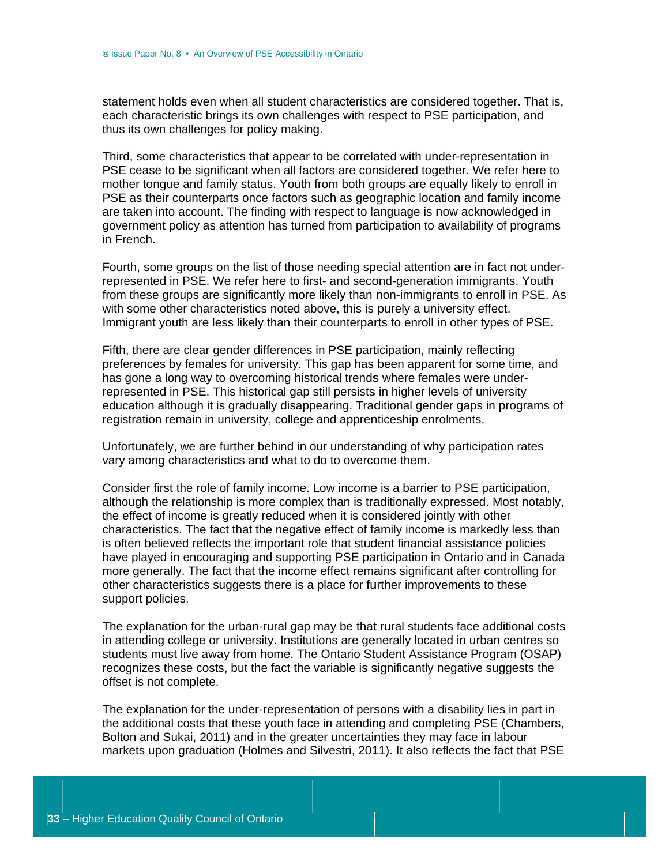statement holds even when all student characteristics are considered together. That is, each characteristic brings its own challenges with respect to PSE participation, and thus its own challenges for policy making.

Third, some characteristics that appear to be correlated with under-representation in PSE cease to be significant when all factors are considered together. We refer here to mother tongue and family status. Youth from both groups are equally likely to enroll in PSE as their counterparts once factors such as geographic location and family income are taken into account. The finding with respect to language is now acknowledged in government policy as attention has turned from participation to availability of programs in French.

Fourth, some groups on the list of those needing special attention are in fact not underrepresented in PSE. We refer here to first- and second-generation immigrants. Youth from these groups are significantly more likely than non-immigrants to enroll in PSE. As with some other characteristics noted above, this is purely a university effect. Immigrant youth are less likely than their counterparts to enroll in other types of PSE.

Fifth, there are clear gender differences in PSE participation, mainly reflecting preferences by females for university. This gap has been apparent for some time, and has gone a long way to overcoming historical trends where females were underrepresented in PSE. This historical gap still persists in higher levels of university education although it is gradually disappearing. Traditional gender gaps in programs of registration remain in university, college and apprenticeship enrolments.

Unfortunately, we are further behind in our understanding of why participation rates vary among characteristics and what to do to overcome them.

Consider first the role of family income. Low income is a barrier to PSE participation, although the relationship is more complex than is traditionally expressed. Most notably, the effect of income is greatly reduced when it is considered jointly with other characteristics. The fact that the negative effect of family income is markedly less than is often believed reflects the important role that student financial assistance policies have played in encouraging and supporting PSE participation in Ontario and in Canada more generally. The fact that the income effect remains significant after controlling for other characteristics suggests there is a place for further improvements to these support policies.

The explanation for the urban-rural gap may be that rural students face additional costs in attending college or university. Institutions are generally located in urban centres so students must live away from home. The Ontario Student Assistance Program (OSAP) recognizes these costs, but the fact the variable is significantly negative suggests the offset is not complete.

The explanation for the under-representation of persons with a disability lies in part in the additional costs that these youth face in attending and completing PSE (Chambers, Bolton and Sukai, 2011) and in the greater uncertainties they may face in labour markets upon graduation (Holmes and Silvestri, 2011). It also reflects the fact that PSE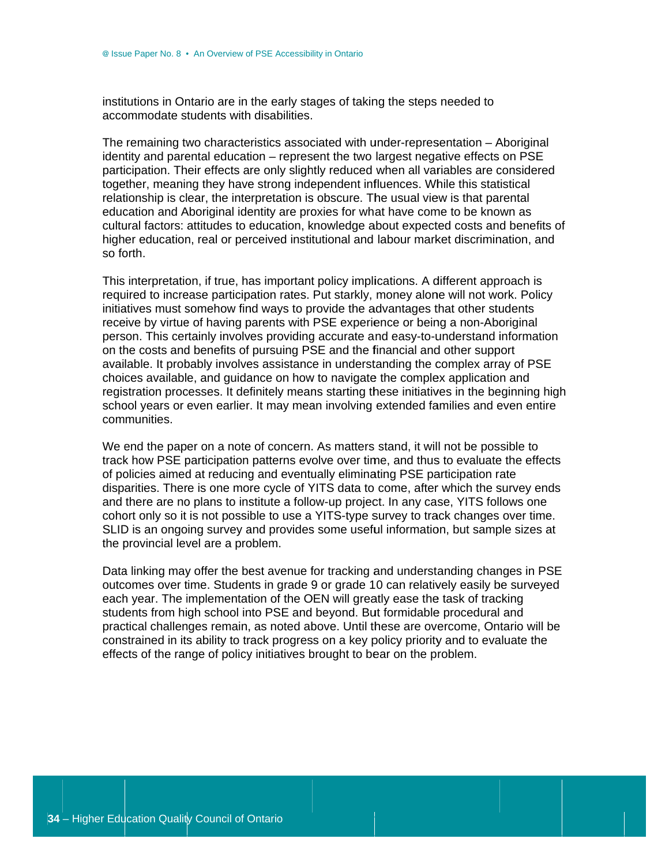institutions in Ontario are in the early stages of taking the steps needed to accommodate students with disabilities.

The remaining two characteristics associated with under-representation - Aboriginal identity and parental education - represent the two largest negative effects on PSE participation. Their effects are only slightly reduced when all variables are considered together, meaning they have strong independent influences. While this statistical relationship is clear, the interpretation is obscure. The usual view is that parental education and Aboriginal identity are proxies for what have come to be known as cultural factors: attitudes to education, knowledge about expected costs and benefits of higher education, real or perceived institutional and labour market discrimination, and so forth.

This interpretation, if true, has important policy implications. A different approach is required to increase participation rates. Put starkly, money alone will not work. Policy initiatives must somehow find ways to provide the advantages that other students receive by virtue of having parents with PSE experience or being a non-Aboriginal person. This certainly involves providing accurate and easy-to-understand information on the costs and benefits of pursuing PSE and the financial and other support available. It probably involves assistance in understanding the complex array of PSE choices available, and quidance on how to navigate the complex application and registration processes. It definitely means starting these initiatives in the beginning high school years or even earlier. It may mean involving extended families and even entire communities.

We end the paper on a note of concern. As matters stand, it will not be possible to track how PSE participation patterns evolve over time, and thus to evaluate the effects of policies aimed at reducing and eventually eliminating PSE participation rate disparities. There is one more cycle of YITS data to come, after which the survey ends and there are no plans to institute a follow-up project. In any case, YITS follows one cohort only so it is not possible to use a YITS-type survey to track changes over time. SLID is an ongoing survey and provides some useful information, but sample sizes at the provincial level are a problem.

Data linking may offer the best avenue for tracking and understanding changes in PSE outcomes over time. Students in grade 9 or grade 10 can relatively easily be surveyed each year. The implementation of the OEN will greatly ease the task of tracking students from high school into PSE and beyond. But formidable procedural and practical challenges remain, as noted above. Until these are overcome, Ontario will be constrained in its ability to track progress on a key policy priority and to evaluate the effects of the range of policy initiatives brought to bear on the problem.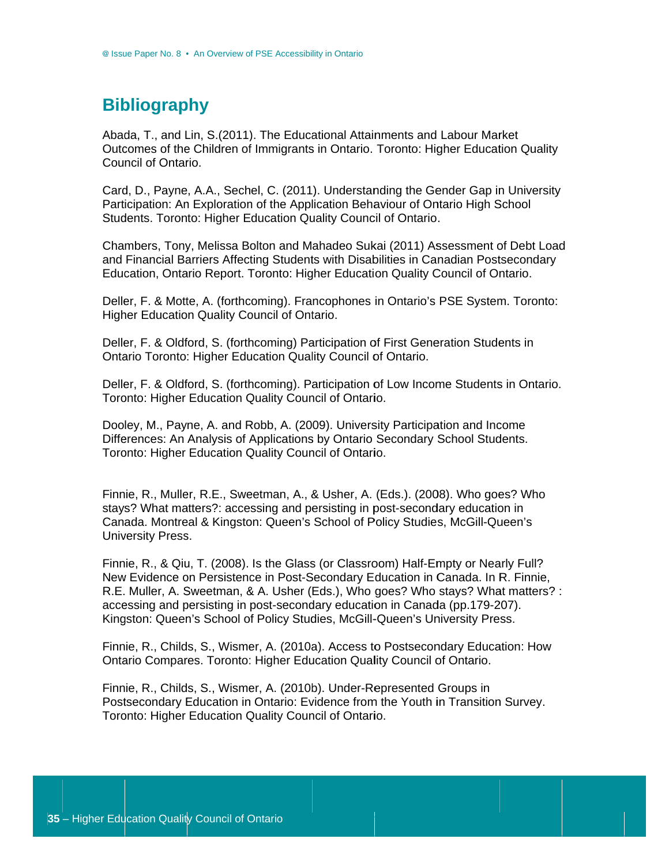### **Bibliography**

Abada, T., and Lin, S. (2011). The Educational Attainments and Labour Market Outcomes of the Children of Immigrants in Ontario. Toronto: Higher Education Quality Council of Ontario.

Card, D., Payne, A.A., Sechel, C. (2011). Understanding the Gender Gap in University Participation: An Exploration of the Application Behaviour of Ontario High School Students. Toronto: Higher Education Quality Council of Ontario.

Chambers, Tony, Melissa Bolton and Mahadeo Sukai (2011) Assessment of Debt Load and Financial Barriers Affecting Students with Disabilities in Canadian Postsecondary Education, Ontario Report. Toronto: Higher Education Quality Council of Ontario.

Deller, F. & Motte, A. (forthcoming). Francophones in Ontario's PSE System. Toronto: Higher Education Quality Council of Ontario.

Deller, F. & Oldford, S. (forthcoming) Participation of First Generation Students in Ontario Toronto: Higher Education Quality Council of Ontario.

Deller, F. & Oldford, S. (forthcoming). Participation of Low Income Students in Ontario. Toronto: Higher Education Quality Council of Ontario.

Dooley, M., Payne, A. and Robb, A. (2009). University Participation and Income Differences: An Analysis of Applications by Ontario Secondary School Students. Toronto: Higher Education Quality Council of Ontario.

Finnie, R., Muller, R.E., Sweetman, A., & Usher, A. (Eds.). (2008). Who goes? Who stays? What matters?: accessing and persisting in post-secondary education in Canada. Montreal & Kingston: Queen's School of Policy Studies, McGill-Queen's University Press.

Finnie, R., & Qiu, T. (2008). Is the Glass (or Classroom) Half-Empty or Nearly Full? New Evidence on Persistence in Post-Secondary Education in Canada. In R. Finnie, R.E. Muller, A. Sweetman, & A. Usher (Eds.), Who goes? Who stays? What matters?: accessing and persisting in post-secondary education in Canada (pp.179-207). Kingston: Queen's School of Policy Studies, McGill-Queen's University Press.

Finnie, R., Childs, S., Wismer, A. (2010a). Access to Postsecondary Education: How Ontario Compares. Toronto: Higher Education Quality Council of Ontario.

Finnie, R., Childs, S., Wismer, A. (2010b). Under-Represented Groups in Postsecondary Education in Ontario: Evidence from the Youth in Transition Survey. Toronto: Higher Education Quality Council of Ontario.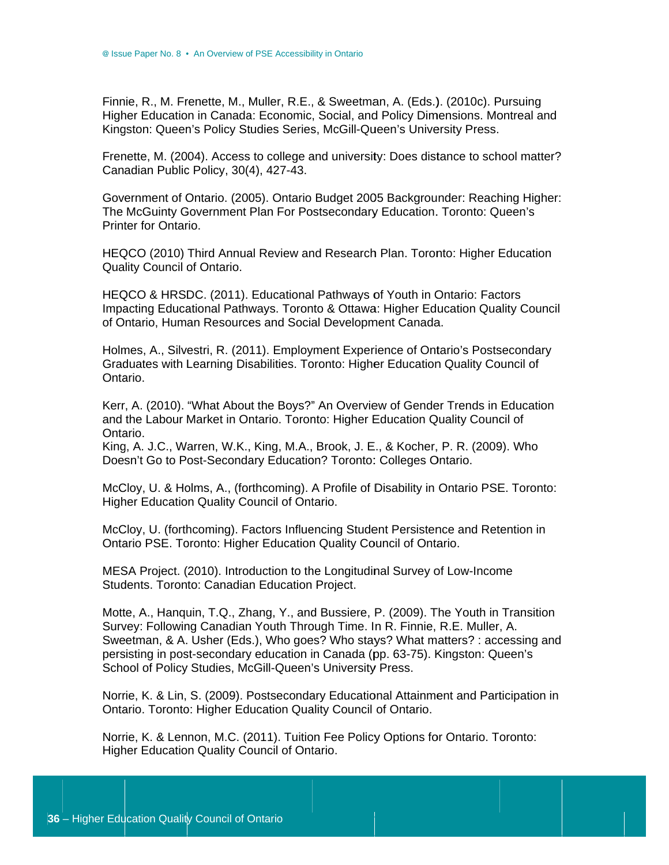Finnie, R., M. Frenette, M., Muller, R.E., & Sweetman, A. (Eds.). (2010c). Pursuing Higher Education in Canada: Economic, Social, and Policy Dimensions. Montreal and Kingston: Queen's Policy Studies Series, McGill-Queen's University Press.

Frenette, M. (2004). Access to college and university: Does distance to school matter? Canadian Public Policy, 30(4), 427-43.

Government of Ontario. (2005). Ontario Budget 2005 Backgrounder: Reaching Higher: The McGuinty Government Plan For Postsecondary Education. Toronto: Queen's Printer for Ontario.

HEQCO (2010) Third Annual Review and Research Plan. Toronto: Higher Education Quality Council of Ontario.

HEQCO & HRSDC. (2011). Educational Pathways of Youth in Ontario: Factors Impacting Educational Pathways. Toronto & Ottawa: Higher Education Quality Council of Ontario, Human Resources and Social Development Canada.

Holmes, A., Silvestri, R. (2011). Employment Experience of Ontario's Postsecondary Graduates with Learning Disabilities. Toronto: Higher Education Quality Council of Ontario.

Kerr, A. (2010). "What About the Boys?" An Overview of Gender Trends in Education and the Labour Market in Ontario. Toronto: Higher Education Quality Council of Ontario.

King, A. J.C., Warren, W.K., King, M.A., Brook, J. E., & Kocher, P. R. (2009). Who Doesn't Go to Post-Secondary Education? Toronto: Colleges Ontario.

McCloy, U. & Holms, A., (forthcoming). A Profile of Disability in Ontario PSE. Toronto: Higher Education Quality Council of Ontario.

McCloy, U. (forthcoming). Factors Influencing Student Persistence and Retention in Ontario PSE. Toronto: Higher Education Quality Council of Ontario.

MESA Project. (2010). Introduction to the Longitudinal Survey of Low-Income Students, Toronto: Canadian Education Project.

Motte, A., Hanquin, T.Q., Zhang, Y., and Bussiere, P. (2009). The Youth in Transition Survey: Following Canadian Youth Through Time. In R. Finnie, R.E. Muller, A. Sweetman, & A. Usher (Eds.), Who goes? Who stays? What matters? : accessing and persisting in post-secondary education in Canada (pp. 63-75). Kingston: Queen's School of Policy Studies, McGill-Queen's University Press.

Norrie, K. & Lin, S. (2009). Postsecondary Educational Attainment and Participation in Ontario. Toronto: Higher Education Quality Council of Ontario.

Norrie, K. & Lennon, M.C. (2011). Tuition Fee Policy Options for Ontario. Toronto: Higher Education Quality Council of Ontario.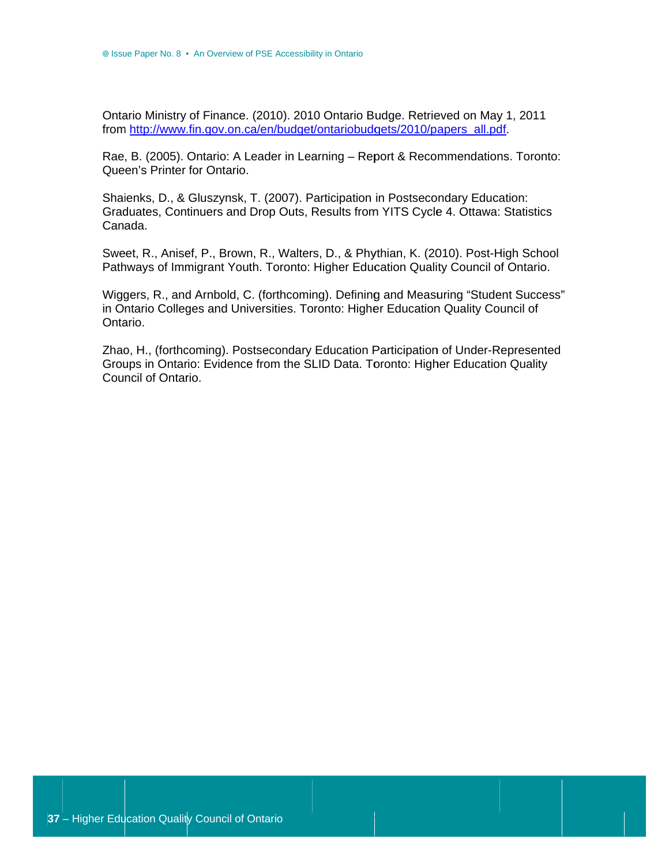Ontario Ministry of Finance. (2010). 2010 Ontario Budge. Retrieved on May 1, 2011 from http://www.fin.gov.on.ca/en/budget/ontariobudgets/2010/papers\_all.pdf.

Rae, B. (2005). Ontario: A Leader in Learning - Report & Recommendations. Toronto: Queen's Printer for Ontario.

Shaienks, D., & Gluszynsk, T. (2007). Participation in Postsecondary Education: Graduates, Continuers and Drop Outs, Results from YITS Cycle 4. Ottawa: Statistics Canada.

Sweet, R., Anisef, P., Brown, R., Walters, D., & Phythian, K. (2010). Post-High School Pathways of Immigrant Youth. Toronto: Higher Education Quality Council of Ontario.

Wiggers, R., and Arnbold, C. (forthcoming). Defining and Measuring "Student Success" in Ontario Colleges and Universities. Toronto: Higher Education Quality Council of Ontario.

Zhao, H., (forthcoming). Postsecondary Education Participation of Under-Represented Groups in Ontario: Evidence from the SLID Data. Toronto: Higher Education Quality Council of Ontario.